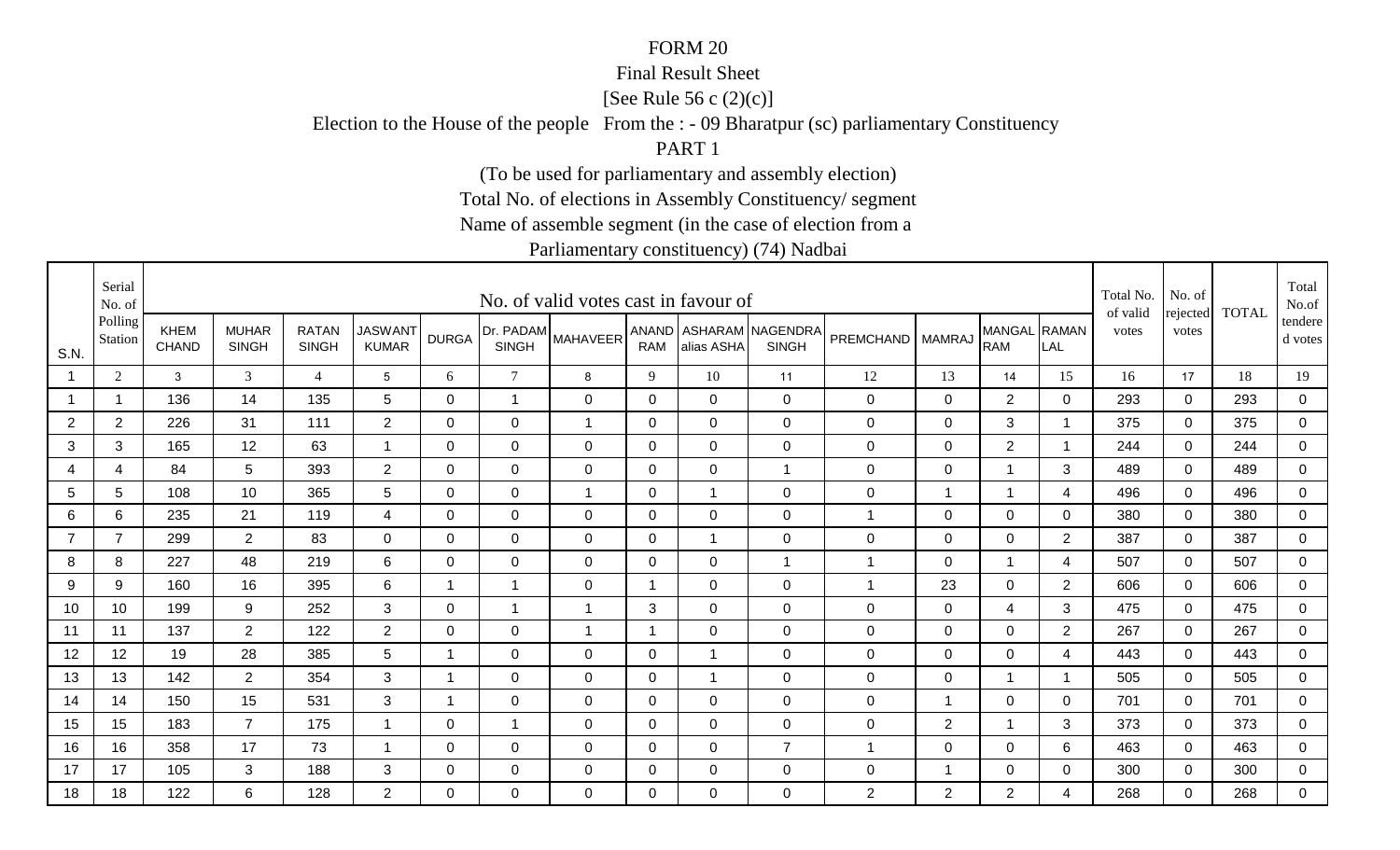### Final Result Sheet

[See Rule 56 c (2)(c)]

Election to the House of the people From the : - 09 Bharatpur (sc) parliamentary Constituency

PART 1

(To be used for parliamentary and assembly election)

Total No. of elections in Assembly Constituency/ segment

Name of assemble segment (in the case of election from a

|                | Serial<br>No. of   |                             |                              |                              |                                |                         |                | No. of valid votes cast in favour of |                |                |                                        |                  |                |                            |                         | Total No.<br>of valid | No. of            | <b>TOTAL</b> | Total<br>No.of       |
|----------------|--------------------|-----------------------------|------------------------------|------------------------------|--------------------------------|-------------------------|----------------|--------------------------------------|----------------|----------------|----------------------------------------|------------------|----------------|----------------------------|-------------------------|-----------------------|-------------------|--------------|----------------------|
| S.N.           | Polling<br>Station | <b>KHEM</b><br><b>CHAND</b> | <b>MUHAR</b><br><b>SINGH</b> | <b>RATAN</b><br><b>SINGH</b> | <b>JASWANT</b><br><b>KUMAR</b> | <b>DURGA</b>            | <b>SINGH</b>   | [Dr. PADAM MAHAVEER <sup>1</sup>     | <b>RAM</b>     | alias ASHA     | ANAND ASHARAM NAGENDRA<br><b>SINGH</b> | PREMCHAND        | <b>MAMRAJ</b>  | MANGAL RAMAN<br><b>RAM</b> | LAL                     | votes                 | rejected<br>votes |              | tendere  <br>d votes |
|                | 2                  | 3                           | 3                            | $\overline{4}$               | $5^{\circ}$                    | 6                       | $\tau$         | 8                                    | 9              | 10             | 11                                     | 12               | 13             | 14                         | 15                      | 16                    | 17                | 18           | 19                   |
|                | $\overline{1}$     | 136                         | 14                           | 135                          | 5                              | 0                       | $\mathbf{1}$   | 0                                    | $\overline{0}$ | 0              | $\overline{0}$                         | 0                | 0              | $\overline{2}$             | $\overline{0}$          | 293                   | $\Omega$          | 293          | $\mathbf 0$          |
| $\overline{2}$ | $\overline{2}$     | 226                         | 31                           | 111                          | $2^{\circ}$                    | 0                       | 0              | $\mathbf{1}$                         | 0              | 0              | $\mathbf 0$                            | $\mathbf 0$      | 0              | $\mathbf{3}$               | -1                      | 375                   | 0                 | 375          | 0                    |
| 3              | 3                  | 165                         | 12                           | 63                           | $\mathbf 1$                    | 0                       | 0              | 0                                    | 0              | $\Omega$       | $\mathbf 0$                            | $\mathbf 0$      | 0              | $\overline{2}$             | $\overline{\mathbf{1}}$ | 244                   | $\Omega$          | 244          | 0                    |
| 4              | $\overline{4}$     | 84                          | 5                            | 393                          | $2^{\circ}$                    | $\Omega$                | $\overline{0}$ | $\mathbf 0$                          | $\mathbf 0$    | $\overline{0}$ | $\overline{1}$                         | $\mathsf 0$      | $\mathbf 0$    | $\overline{1}$             | 3                       | 489                   | $\Omega$          | 489          | $\overline{0}$       |
| 5              | $5\phantom{.0}$    | 108                         | 10                           | 365                          | 5                              | $\mathbf 0$             | $\mathbf 0$    | $\mathbf 1$                          | $\mathbf 0$    | $\overline{1}$ | $\overline{0}$                         | $\mathsf 0$      | $\mathbf{1}$   | $\mathbf{1}$               | 4                       | 496                   | $\mathbf 0$       | 496          | $\overline{0}$       |
| 6              | 6                  | 235                         | 21                           | 119                          | $\overline{4}$                 | $\mathbf 0$             | $\mathbf 0$    | $\mathbf 0$                          | $\mathbf 0$    | $\overline{0}$ | $\mathbf 0$                            | $\mathbf 1$      | $\mathbf 0$    | $\mathbf 0$                | $\mathbf 0$             | 380                   | $\mathbf 0$       | 380          | 0                    |
| $\overline{7}$ | $\overline{7}$     | 299                         | $\overline{2}$               | 83                           | $\overline{0}$                 | 0                       | 0              | $\mathbf 0$                          | 0              | $\overline{1}$ | $\mathbf 0$                            | $\mathsf 0$      | $\mathbf 0$    | $\mathbf 0$                | $\overline{2}$          | 387                   | $\mathbf 0$       | 387          | 0                    |
| 8              | 8                  | 227                         | 48                           | 219                          | 6                              | $\Omega$                | 0              | $\mathbf 0$                          | 0              | 0              | $\overline{1}$                         | 1                | 0              |                            | 4                       | 507                   | $\mathbf 0$       | 507          | 0                    |
| 9              | 9                  | 160                         | 16                           | 395                          | 6                              | $\overline{1}$          | $\mathbf{1}$   | $\mathbf 0$                          | 1              | $\overline{0}$ | $\overline{0}$                         | $\overline{1}$   | 23             | $\pmb{0}$                  | 2                       | 606                   | $\mathbf 0$       | 606          | $\overline{0}$       |
| 10             | 10                 | 199                         | 9                            | 252                          | 3                              | 0                       | $\mathbf{1}$   | $\mathbf 1$                          | 3              | 0              | $\mathbf 0$                            | $\mathbf 0$      | 0              | $\overline{4}$             | 3                       | 475                   | 0                 | 475          | $\mathbf 0$          |
| 11             | 11                 | 137                         | $\overline{2}$               | 122                          | $\overline{2}$                 | 0                       | 0              | $\overline{\mathbf{1}}$              | -1             | $\mathbf 0$    | $\mathbf 0$                            | $\mathbf 0$      | 0              | $\pmb{0}$                  | $\overline{2}$          | 267                   | $\Omega$          | 267          | 0                    |
| 12             | 12                 | 19                          | 28                           | 385                          | 5                              | -1                      | 0              | $\mathbf 0$                          | $\mathbf 0$    |                | $\mathbf 0$                            | 0                | $\mathbf 0$    | $\pmb{0}$                  | 4                       | 443                   | $\mathbf 0$       | 443          | $\overline{0}$       |
| 13             | 13                 | 142                         | $\overline{2}$               | 354                          | 3                              | $\overline{\mathbf{1}}$ | 0              | 0                                    | $\overline{0}$ | -1             | $\overline{0}$                         | $\mathbf 0$      | 0              | 1                          | - 1                     | 505                   | $\Omega$          | 505          | 0                    |
| 14             | 14                 | 150                         | 15                           | 531                          | 3                              | $\overline{\mathbf{A}}$ | $\mathbf 0$    | $\mathbf 0$                          | $\mathbf 0$    | $\mathbf 0$    | $\mathbf 0$                            | $\boldsymbol{0}$ | $\overline{1}$ | $\mathsf 0$                | $\mathbf 0$             | 701                   | $\overline{0}$    | 701          | $\mathbf 0$          |
| 15             | 15                 | 183                         | $\overline{7}$               | 175                          | $\mathbf{1}$                   | 0                       | $\mathbf{1}$   | $\mathbf 0$                          | 0              | 0              | $\mathbf 0$                            | $\mathbf 0$      | $\overline{2}$ | 1                          | 3                       | 373                   | $\Omega$          | 373          | $\mathbf 0$          |
| 16             | 16                 | 358                         | 17                           | 73                           |                                | 0                       | 0              | 0                                    | 0              | $\mathbf 0$    | $\overline{7}$                         | 1                | $\mathbf 0$    | $\pmb{0}$                  | 6                       | 463                   | $\mathbf 0$       | 463          | 0                    |
| 17             | 17                 | 105                         | 3                            | 188                          | 3                              | 0                       | 0              | $\mathbf 0$                          | 0              | 0              | $\mathbf 0$                            | $\mathbf 0$      | -1             | $\mathbf 0$                | 0                       | 300                   | $\mathbf 0$       | 300          | $\overline{0}$       |
| 18             | 18                 | 122                         | 6                            | 128                          | $\overline{2}$                 | $\Omega$                | $\Omega$       | $\Omega$                             | $\Omega$       | $\Omega$       | $\mathbf 0$                            | $\overline{2}$   | 2              | 2                          | 4                       | 268                   | $\Omega$          | 268          | $\overline{0}$       |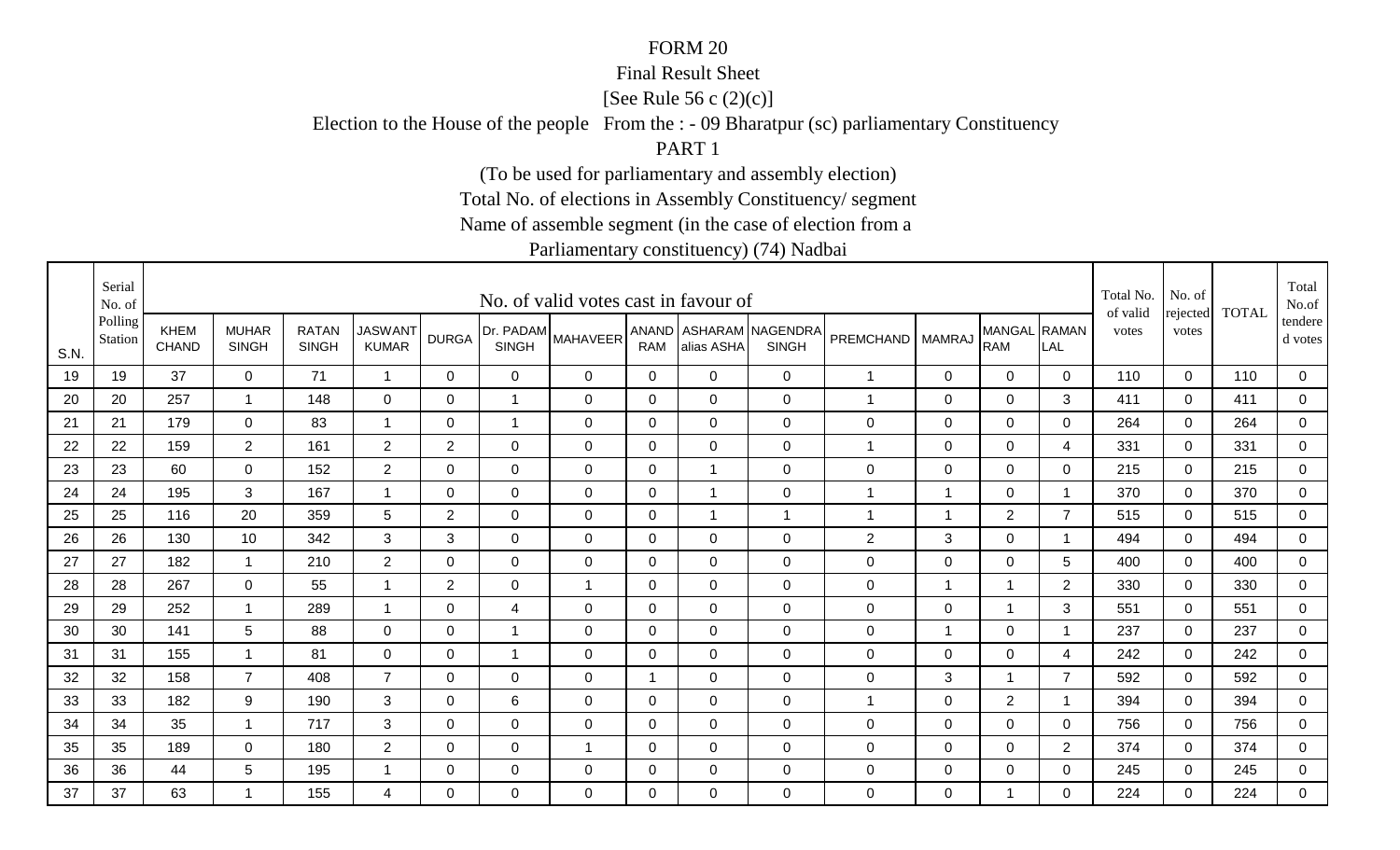#### Final Result Sheet

[See Rule 56 c (2)(c)]

Election to the House of the people From the : - 09 Bharatpur (sc) parliamentary Constituency

PART 1

(To be used for parliamentary and assembly election)

Total No. of elections in Assembly Constituency/ segment

Name of assemble segment (in the case of election from a

|      | Serial<br>No. of   |                             |                              |                              |                                |                |                | No. of valid votes cast in favour of |                |                |                                        |                  |                |                            |                         | Total No.<br>of valid | No. of            | <b>TOTAL</b> | Total<br>No.of       |
|------|--------------------|-----------------------------|------------------------------|------------------------------|--------------------------------|----------------|----------------|--------------------------------------|----------------|----------------|----------------------------------------|------------------|----------------|----------------------------|-------------------------|-----------------------|-------------------|--------------|----------------------|
| S.N. | Polling<br>Station | <b>KHEM</b><br><b>CHAND</b> | <b>MUHAR</b><br><b>SINGH</b> | <b>RATAN</b><br><b>SINGH</b> | <b>JASWANT</b><br><b>KUMAR</b> | <b>DURGA</b>   | <b>SINGH</b>   | [Dr. PADAM MAHAVEER <sup>1</sup>     | <b>RAM</b>     | alias ASHA     | ANAND ASHARAM NAGENDRA<br><b>SINGH</b> | PREMCHAND        | <b>MAMRAJ</b>  | MANGAL RAMAN<br><b>RAM</b> | LAL                     | votes                 | rejected<br>votes |              | tendere  <br>d votes |
| 19   | 19                 | 37                          | $\Omega$                     | 71                           | $\mathbf{1}$                   | $\Omega$       | $\mathbf 0$    | $\mathbf{0}$                         | 0              | $\Omega$       | $\mathbf 0$                            | $\mathbf{1}$     | 0              | $\overline{0}$             | $\Omega$                | 110                   | $\mathbf 0$       | 110          | 0                    |
| 20   | 20                 | 257                         | $\overline{\mathbf{1}}$      | 148                          | 0                              | 0              | $\mathbf{1}$   | 0                                    | 0              | 0              | $\mathbf 0$                            | $\overline{1}$   | 0              | $\overline{0}$             | 3                       | 411                   | $\Omega$          | 411          | $\mathbf 0$          |
| 21   | 21                 | 179                         | 0                            | 83                           | $\mathbf{1}$                   | 0              | $\mathbf{1}$   | 0                                    | 0              | 0              | $\mathbf 0$                            | $\mathbf 0$      | 0              | 0                          | 0                       | 264                   | 0                 | 264          | 0                    |
| 22   | 22                 | 159                         | $\overline{2}$               | 161                          | $\overline{2}$                 | $\overline{2}$ | 0              | 0                                    | 0              | $\Omega$       | $\mathbf 0$                            | 1                | 0              | $\mathbf 0$                | 4                       | 331                   | $\Omega$          | 331          | 0                    |
| 23   | 23                 | 60                          | $\Omega$                     | 152                          | $2^{\circ}$                    | $\Omega$       | $\overline{0}$ | $\mathbf 0$                          | $\overline{0}$ | -1             | $\overline{0}$                         | $\boldsymbol{0}$ | $\mathbf 0$    | $\mathbf 0$                | $\Omega$                | 215                   | $\Omega$          | 215          | $\overline{0}$       |
| 24   | 24                 | 195                         | 3                            | 167                          | $\mathbf{1}$                   | $\mathbf 0$    | $\overline{0}$ | $\mathbf 0$                          | $\overline{0}$ | $\overline{1}$ | $\mathbf 0$                            | 1                | $\mathbf 1$    | $\mathbf 0$                | $\overline{1}$          | 370                   | $\mathbf 0$       | 370          | $\overline{0}$       |
| 25   | 25                 | 116                         | 20                           | 359                          | 5                              | $\overline{2}$ | $\mathbf 0$    | $\mathbf 0$                          | $\mathbf 0$    | -1             | $\overline{1}$                         | $\mathbf 1$      | $\overline{1}$ | $\overline{c}$             | $\overline{7}$          | 515                   | $\mathbf 0$       | 515          | 0                    |
| 26   | 26                 | 130                         | 10 <sup>1</sup>              | 342                          | 3                              | 3              | $\mathbf 0$    | $\mathbf 0$                          | 0              | $\mathbf 0$    | $\mathbf 0$                            | $\mathbf{2}$     | 3              | $\pmb{0}$                  | $\overline{\mathbf{1}}$ | 494                   | 0                 | 494          | 0                    |
| 27   | 27                 | 182                         | -1                           | 210                          | $2^{\circ}$                    | $\Omega$       | 0              | 0                                    | 0              | 0              | $\overline{0}$                         | $\mathbf 0$      | 0              | $\mathbf 0$                | 5                       | 400                   | $\mathbf 0$       | 400          | 0                    |
| 28   | 28                 | 267                         | $\overline{0}$               | 55                           | $\mathbf 1$                    | $\overline{2}$ | 0              | $\mathbf 1$                          | $\mathbf 0$    | $\overline{0}$ | $\overline{0}$                         | 0                | $\overline{1}$ | $\mathbf{1}$               | $\overline{2}$          | 330                   | $\mathbf 0$       | 330          | $\overline{0}$       |
| 29   | 29                 | 252                         | $\overline{\mathbf{1}}$      | 289                          | $\mathbf 1$                    | 0              | 4              | 0                                    | $\mathbf 0$    | $\mathbf 0$    | $\mathbf 0$                            | $\mathbf 0$      | $\mathbf 0$    |                            | 3                       | 551                   | 0                 | 551          | $\overline{0}$       |
| 30   | 30                 | 141                         | 5                            | 88                           | $\mathbf 0$                    | 0              | $\mathbf 1$    | 0                                    | 0              | $\overline{0}$ | $\mathbf 0$                            | $\mathbf 0$      | $\overline{1}$ | $\pmb{0}$                  | - 1                     | 237                   | 0                 | 237          | 0                    |
| 31   | 31                 | 155                         | $\overline{1}$               | 81                           | $\overline{0}$                 | 0              | $\mathbf 1$    | $\mathbf 0$                          | 0              | $\mathbf 0$    | $\mathbf 0$                            | 0                | $\mathbf 0$    | $\pmb{0}$                  | 4                       | 242                   | $\mathbf 0$       | 242          | $\overline{0}$       |
| 32   | 32                 | 158                         | $\overline{7}$               | 408                          | $\overline{7}$                 | $\Omega$       | $\mathbf 0$    | 0                                    | -1             | 0              | $\overline{0}$                         | $\mathbf 0$      | 3              | 1                          | $\overline{7}$          | 592                   | $\Omega$          | 592          | 0                    |
| 33   | 33                 | 182                         | 9                            | 190                          | 3                              | $\mathbf 0$    | $6\phantom{1}$ | $\mathbf 0$                          | $\mathbf 0$    | $\overline{0}$ | $\mathbf 0$                            | 1                | $\mathbf 0$    | $\overline{2}$             | $\overline{1}$          | 394                   | $\overline{0}$    | 394          | $\mathbf 0$          |
| 34   | 34                 | 35                          | $\overline{\mathbf{1}}$      | 717                          | 3                              | 0              | 0              | $\mathbf 0$                          | 0              | 0              | $\mathbf 0$                            | $\mathbf 0$      | $\mathbf 0$    | $\mathbf 0$                | 0                       | 756                   | $\Omega$          | 756          | $\overline{0}$       |
| 35   | 35                 | 189                         | 0                            | 180                          | $\overline{2}$                 | 0              | 0              | 1                                    | $\mathbf 0$    | 0              | $\mathbf 0$                            | $\mathbf 0$      | $\mathbf 0$    | $\pmb{0}$                  | $\overline{2}$          | 374                   | $\mathbf 0$       | 374          | 0                    |
| 36   | 36                 | 44                          | 5                            | 195                          | -1                             | 0              | 0              | 0                                    | 0              | 0              | $\mathbf 0$                            | $\mathbf 0$      | $\mathbf 0$    | $\mathbf 0$                | 0                       | 245                   | $\mathbf 0$       | 245          | $\overline{0}$       |
| 37   | 37                 | 63                          | -1                           | 155                          | 4                              | $\Omega$       | $\Omega$       | $\Omega$                             | $\Omega$       | $\Omega$       | $\Omega$                               | 0                | $\Omega$       |                            | $\Omega$                | 224                   | $\Omega$          | 224          | $\overline{0}$       |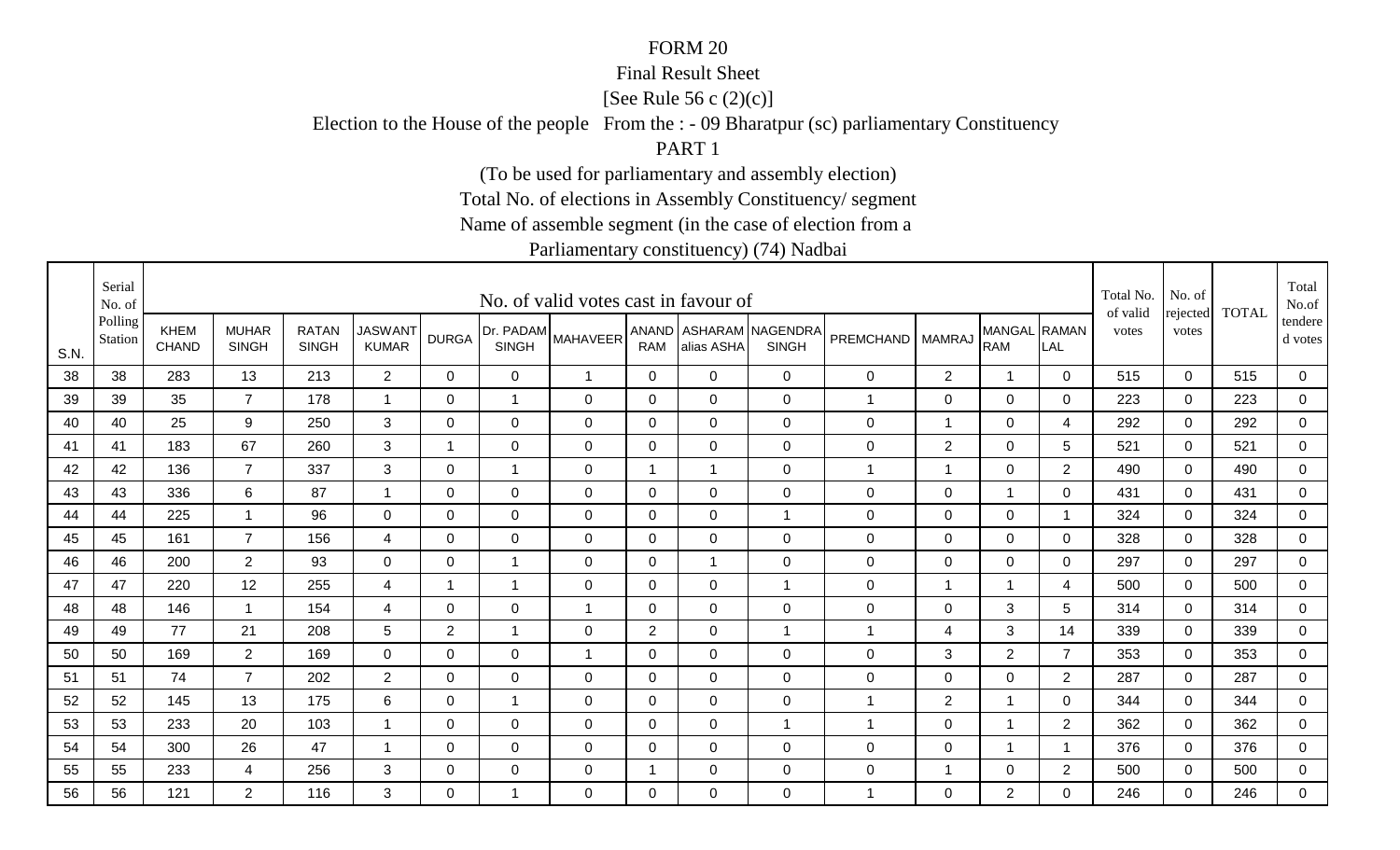#### Final Result Sheet

[See Rule 56 c (2)(c)]

Election to the House of the people From the : - 09 Bharatpur (sc) parliamentary Constituency

PART 1

(To be used for parliamentary and assembly election)

Total No. of elections in Assembly Constituency/ segment

Name of assemble segment (in the case of election from a

|      | Serial<br>No. of   |                             |                              |                              |                                |                |                           | No. of valid votes cast in favour of |                |                |                                        |                    |                |                            |                          | Total No.<br>of valid | No. of            | <b>TOTAL</b> | Total<br>No.of       |
|------|--------------------|-----------------------------|------------------------------|------------------------------|--------------------------------|----------------|---------------------------|--------------------------------------|----------------|----------------|----------------------------------------|--------------------|----------------|----------------------------|--------------------------|-----------------------|-------------------|--------------|----------------------|
| S.N. | Polling<br>Station | <b>KHEM</b><br><b>CHAND</b> | <b>MUHAR</b><br><b>SINGH</b> | <b>RATAN</b><br><b>SINGH</b> | <b>JASWANT</b><br><b>KUMAR</b> | <b>DURGA</b>   | Dr. PADAM<br><b>SINGH</b> | <b>MAHAVEER</b>                      | <b>RAM</b>     | alias ASHA     | ANAND ASHARAM NAGENDRA<br><b>SINGH</b> | PREMCHAND   MAMRAJ |                | MANGAL RAMAN<br><b>RAM</b> | LAL                      | votes                 | rejected<br>votes |              | tendere  <br>d votes |
| 38   | 38                 | 283                         | 13                           | 213                          | $\overline{2}$                 | $\Omega$       | $\overline{0}$            | $\overline{1}$                       | $\mathbf 0$    | $\mathbf 0$    | $\mathbf 0$                            | $\mathbf 0$        | 2              | $\overline{\mathbf{1}}$    | $\Omega$                 | 515                   | $\mathbf 0$       | 515          | 0                    |
| 39   | 39                 | 35                          | $\overline{7}$               | 178                          |                                | $\mathbf 0$    | $\overline{1}$            | $\mathbf{0}$                         | $\mathbf 0$    | $\mathbf 0$    | $\mathbf 0$                            | 1                  | $\mathbf 0$    | $\mathbf 0$                | 0                        | 223                   | $\mathbf 0$       | 223          | $\overline{0}$       |
| 40   | 40                 | 25                          | 9                            | 250                          | 3                              | 0              | $\mathbf 0$               | $\mathbf 0$                          | 0              | $\mathbf 0$    | $\mathbf 0$                            | $\pmb{0}$          | -1             | 0                          | 4                        | 292                   | 0                 | 292          | $\mathbf 0$          |
| 41   | 41                 | 183                         | 67                           | 260                          | 3                              | 1              | $\mathbf 0$               | $\mathbf 0$                          | 0              | $\mathbf 0$    | $\mathbf 0$                            | $\pmb{0}$          | $\overline{2}$ | $\mathbf 0$                | 5                        | 521                   | $\mathbf 0$       | 521          | $\mathbf 0$          |
| 42   | 42                 | 136                         | $\overline{7}$               | 337                          | 3                              | 0              | $\mathbf 1$               | $\mathbf 0$                          | $\overline{1}$ | $\mathbf 1$    | $\mathbf 0$                            | 1                  | -1             | $\mathbf 0$                | $\overline{2}$           | 490                   | $\mathbf{0}$      | 490          | $\overline{0}$       |
| 43   | 43                 | 336                         | 6                            | 87                           |                                | 0              | $\mathbf 0$               | $\mathbf 0$                          | 0              | $\mathbf 0$    | $\mathbf 0$                            | $\mathbf 0$        | 0              | $\mathbf 1$                | 0                        | 431                   | $\mathbf 0$       | 431          | $\mathbf 0$          |
| 44   | 44                 | 225                         | $\overline{1}$               | 96                           | $\mathbf 0$                    | $\Omega$       | $\mathbf 0$               | $\mathbf 0$                          | $\mathbf 0$    | $\mathbf 0$    | $\overline{1}$                         | $\mathbf 0$        | $\overline{0}$ | $\mathbf 0$                | $\overline{\phantom{a}}$ | 324                   | $\Omega$          | 324          | 0                    |
| 45   | 45                 | 161                         | $\overline{7}$               | 156                          | $\overline{4}$                 | 0              | $\mathbf 0$               | $\mathbf 0$                          | $\mathbf 0$    | $\overline{0}$ | $\mathbf 0$                            | $\mathbf 0$        | $\mathbf 0$    | $\mathbf 0$                | 0                        | 328                   | $\mathbf 0$       | 328          | $\overline{0}$       |
| 46   | 46                 | 200                         | $\overline{2}$               | 93                           | $\mathbf 0$                    | $\Omega$       | $\mathbf 1$               | $\mathbf 0$                          | 0              | $\mathbf{1}$   | $\mathbf 0$                            | $\mathbf 0$        | $\mathbf 0$    | $\mathbf 0$                | $\Omega$                 | 297                   | $\mathbf 0$       | 297          | 0                    |
| 47   | 47                 | 220                         | 12                           | 255                          | 4                              | 1              | $\overline{1}$            | $\mathbf 0$                          | $\mathbf 0$    | $\overline{0}$ | $\overline{1}$                         | $\pmb{0}$          | $\overline{1}$ | $\overline{1}$             | 4                        | 500                   | $\mathbf 0$       | 500          | $\overline{0}$       |
| 48   | 48                 | 146                         | -1                           | 154                          | 4                              | 0              | $\mathbf 0$               | $\overline{1}$                       | 0              | $\mathbf 0$    | $\mathbf 0$                            | $\mathbf 0$        | $\mathbf 0$    | $\mathbf{3}$               | 5                        | 314                   | 0                 | 314          | $\mathbf 0$          |
| 49   | 49                 | 77                          | 21                           | 208                          | 5                              | $\overline{2}$ | $\mathbf 1$               | 0                                    | 2              | $\mathbf 0$    | $\overline{1}$                         | 1                  | 4              | 3                          | 14                       | 339                   | 0                 | 339          | 0                    |
| 50   | 50                 | 169                         | $\overline{2}$               | 169                          | $\mathbf 0$                    | 0              | 0                         | $\overline{\mathbf{1}}$              | 0              | $\mathbf 0$    | $\mathbf 0$                            | $\mathbf 0$        | 3              | $\overline{2}$             | $\overline{7}$           | 353                   | $\mathbf{0}$      | 353          | $\overline{0}$       |
| 51   | 51                 | 74                          | $\overline{7}$               | 202                          | $\overline{2}$                 | $\Omega$       | $\Omega$                  | $\Omega$                             | $\mathbf{0}$   | $\Omega$       | $\mathbf 0$                            | $\mathbf 0$        | $\Omega$       | $\overline{0}$             | $\overline{2}$           | 287                   | $\mathbf{0}$      | 287          | $\mathbf 0$          |
| 52   | 52                 | 145                         | 13                           | 175                          | 6                              | $\mathbf 0$    | $\overline{1}$            | $\mathbf 0$                          | $\mathbf 0$    | $\mathbf 0$    | $\mathbf 0$                            | 1                  | $\overline{2}$ | $\overline{1}$             | $\mathbf 0$              | 344                   | $\overline{0}$    | 344          | $\overline{0}$       |
| 53   | 53                 | 233                         | 20                           | 103                          |                                | 0              | $\overline{0}$            | $\mathbf 0$                          | 0              | $\overline{0}$ | $\overline{1}$                         | 1                  | $\mathbf 0$    | $\overline{1}$             | $\overline{2}$           | 362                   | $\Omega$          | 362          | 0                    |
| 54   | 54                 | 300                         | 26                           | 47                           |                                | 0              | $\mathbf 0$               | $\mathbf 0$                          | 0              | $\overline{0}$ | $\mathbf 0$                            | $\mathbf 0$        | $\mathbf 0$    | $\mathbf 1$                | $\overline{\phantom{a}}$ | 376                   | $\mathbf 0$       | 376          | 0                    |
| 55   | 55                 | 233                         | 4                            | 256                          | 3                              | $\Omega$       | $\mathbf 0$               | $\mathbf 0$                          | -1             | $\mathbf 0$    | $\mathbf 0$                            | $\mathbf 0$        | $\overline{1}$ | $\overline{0}$             | $\overline{2}$           | 500                   | $\mathbf{0}$      | 500          | $\overline{0}$       |
| 56   | 56                 | 121                         | $\overline{2}$               | 116                          | 3                              | 0              | $\mathbf 1$               | $\mathbf 0$                          | 0              | $\mathbf 0$    | $\mathbf 0$                            | 1                  | 0              | $\overline{2}$             | 0                        | 246                   | $\mathbf{0}$      | 246          | $\overline{0}$       |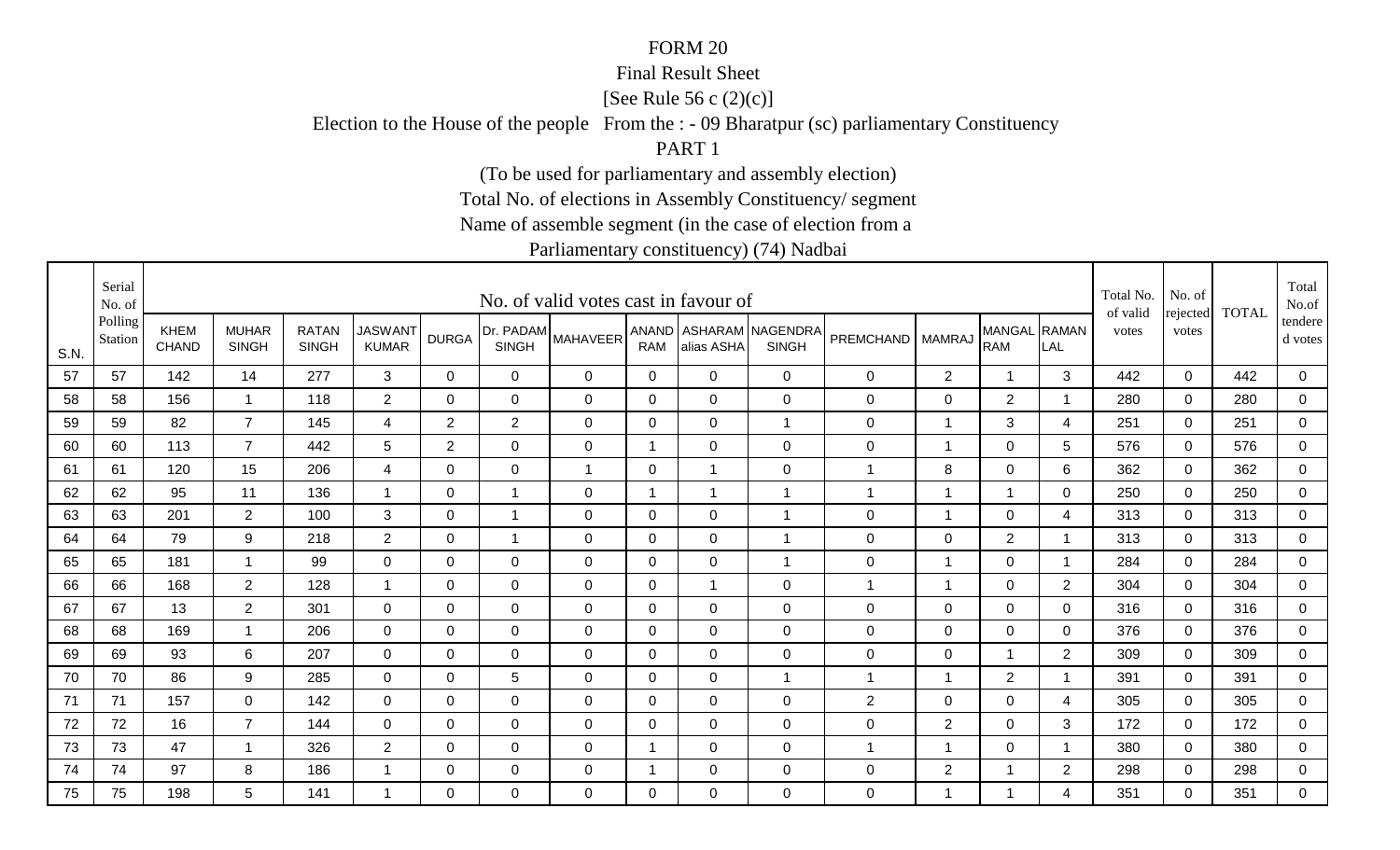#### Final Result Sheet

[See Rule 56 c (2)(c)]

Election to the House of the people From the : - 09 Bharatpur (sc) parliamentary Constituency

PART 1

(To be used for parliamentary and assembly election)

Total No. of elections in Assembly Constituency/ segment

Name of assemble segment (in the case of election from a

|      | Serial<br>No. of   |                             |                              |                              |                                |                |                           | No. of valid votes cast in favour of |                |                |                                        |                    |                |                            |                | Total No.<br>of valid | No. of<br>rejected | <b>TOTAL</b> | Total<br>No.of     |
|------|--------------------|-----------------------------|------------------------------|------------------------------|--------------------------------|----------------|---------------------------|--------------------------------------|----------------|----------------|----------------------------------------|--------------------|----------------|----------------------------|----------------|-----------------------|--------------------|--------------|--------------------|
| S.N. | Polling<br>Station | <b>KHEM</b><br><b>CHAND</b> | <b>MUHAR</b><br><b>SINGH</b> | <b>RATAN</b><br><b>SINGH</b> | <b>JASWANT</b><br><b>KUMAR</b> | <b>DURGA</b>   | Dr. PADAM<br><b>SINGH</b> | <b>MAHAVEER</b>                      | <b>RAM</b>     | alias ASHA     | ANAND ASHARAM NAGENDRA<br><b>SINGH</b> | PREMCHAND   MAMRAJ |                | MANGAL RAMAN<br><b>RAM</b> | LAL            | votes                 | votes              |              | tendere<br>d votes |
| 57   | 57                 | 142                         | 14                           | 277                          | $\mathbf{3}$                   | $\mathbf{0}$   | $\mathbf 0$               | 0                                    | $\overline{0}$ | 0              | $\mathbf 0$                            | $\mathbf 0$        | $\overline{2}$ | $\mathbf 1$                | 3              | 442                   | $\mathbf 0$        | 442          | $\overline{0}$     |
| 58   | 58                 | 156                         | $\mathbf{1}$                 | 118                          | $\overline{2}$                 | $\Omega$       | $\mathbf 0$               | $\mathbf 0$                          | $\mathbf{0}$   | $\Omega$       | $\mathbf 0$                            | $\boldsymbol{0}$   | $\mathbf 0$    | 2                          |                | 280                   | $\mathbf 0$        | 280          | $\overline{0}$     |
| 59   | 59                 | 82                          | $\overline{7}$               | 145                          | 4                              | $\overline{2}$ | $\overline{2}$            | $\mathbf 0$                          | 0              | 0              | $\overline{1}$                         | $\mathbf 0$        | $\mathbf 1$    | $\mathbf{3}$               | 4              | 251                   | 0                  | 251          | 0                  |
| 60   | 60                 | 113                         | $\overline{7}$               | 442                          | 5                              | $\overline{2}$ | $\mathbf 0$               | $\mathbf 0$                          | $\overline{1}$ | $\overline{0}$ | $\mathbf 0$                            | $\boldsymbol{0}$   | $\mathbf 1$    | $\overline{0}$             | 5              | 576                   | $\mathbf 0$        | 576          | $\mathbf 0$        |
| 61   | 61                 | 120                         | 15                           | 206                          | $\overline{4}$                 | $\Omega$       | $\mathbf 0$               | $\overline{1}$                       | $\mathbf 0$    |                | $\mathbf 0$                            | 1                  | 8              | $\overline{0}$             | 6              | 362                   | $\Omega$           | 362          | $\overline{0}$     |
| 62   | 62                 | 95                          | 11                           | 136                          | $\overline{1}$                 | $\mathbf 0$    | $\overline{1}$            | $\mathbf 0$                          | $\mathbf 1$    |                | $\overline{1}$                         | 1                  | $\overline{1}$ | $\overline{1}$             | $\mathbf 0$    | 250                   | $\mathbf 0$        | 250          | $\overline{0}$     |
| 63   | 63                 | 201                         | $\overline{2}$               | 100                          | 3                              | $\mathbf 0$    | $\overline{ }$            | $\mathbf 0$                          | $\mathbf 0$    | $\mathbf 0$    | $\overline{1}$                         | $\boldsymbol{0}$   | $\mathbf{1}$   | $\mathbf 0$                | 4              | 313                   | $\overline{0}$     | 313          | $\mathbf 0$        |
| 64   | 64                 | 79                          | 9                            | 218                          | $\overline{2}$                 | 0              | $\mathbf 1$               | 0                                    | 0              | 0              | $\mathbf 1$                            | $\mathbf 0$        | 0              | $\overline{2}$             | -1             | 313                   | 0                  | 313          | 0                  |
| 65   | 65                 | 181                         | $\mathbf{1}$                 | 99                           | 0                              | $\Omega$       | 0                         | 0                                    | 0              | 0              | -1                                     | $\mathbf 0$        | $\mathbf 1$    | 0                          | - 1            | 284                   | $\Omega$           | 284          | 0                  |
| 66   | 66                 | 168                         | $\overline{2}$               | 128                          | $\overline{1}$                 | $\Omega$       | 0                         | 0                                    | 0              |                | $\mathbf 0$                            | 1                  | $\overline{1}$ | $\overline{0}$             | 2              | 304                   | $\Omega$           | 304          | $\overline{0}$     |
| 67   | 67                 | 13                          | $\overline{2}$               | 301                          | $\mathbf 0$                    | $\Omega$       | 0                         | $\mathbf 0$                          | 0              | $\overline{0}$ | $\mathbf 0$                            | $\boldsymbol{0}$   | $\mathbf 0$    | $\mathbf 0$                | 0              | 316                   | $\Omega$           | 316          | $\overline{0}$     |
| 68   | 68                 | 169                         | $\overline{1}$               | 206                          | 0                              | $\Omega$       | $\mathbf 0$               | $\mathbf 0$                          | 0              | 0              | $\mathbf 0$                            | 0                  | $\mathbf 0$    | $\mathbf 0$                | 0              | 376                   | $\overline{0}$     | 376          | 0                  |
| 69   | 69                 | 93                          | 6                            | 207                          | $\mathbf 0$                    | 0              | 0                         | 0                                    | 0              | 0              | $\mathbf 0$                            | $\mathbf 0$        | 0              | 1                          | $\overline{2}$ | 309                   | 0                  | 309          | 0                  |
| 70   | 70                 | 86                          | 9                            | 285                          | $\mathbf 0$                    | 0              | 5                         | 0                                    | 0              | 0              | $\overline{1}$                         | 1                  | -1             | 2                          | -1             | 391                   | $\mathbf 0$        | 391          | 0                  |
| 71   | 71                 | 157                         | $\overline{0}$               | 142                          | $\mathbf 0$                    | $\Omega$       | $\mathbf 0$               | $\mathbf 0$                          | 0              | 0              | $\mathbf 0$                            | $\mathbf{2}$       | $\mathbf 0$    | $\mathbf 0$                | $\overline{4}$ | 305                   | $\mathbf 0$        | 305          | $\mathbf 0$        |
| 72   | 72                 | 16                          | $\overline{7}$               | 144                          | $\mathbf 0$                    | 0              | $\mathbf 0$               | $\mathbf 0$                          | $\mathbf 0$    | 0              | $\mathbf 0$                            | $\mathbf 0$        | $\overline{2}$ | 0                          | 3              | 172                   | 0                  | 172          | $\mathbf 0$        |
| 73   | 73                 | 47                          | $\overline{1}$               | 326                          | $\overline{2}$                 | $\Omega$       | $\mathbf 0$               | $\mathbf 0$                          | -1             | $\mathbf 0$    | $\mathbf 0$                            | 1                  | -1             | $\mathbf 0$                | -1             | 380                   | $\mathbf 0$        | 380          | 0                  |
| 74   | 74                 | 97                          | 8                            | 186                          | -1                             | 0              | $\mathbf 0$               | $\mathbf 0$                          | -1             | 0              | $\mathbf 0$                            | 0                  | $\overline{2}$ |                            | $\overline{2}$ | 298                   | $\mathbf 0$        | 298          | $\overline{0}$     |
| 75   | 75                 | 198                         | 5                            | 141                          |                                | $\Omega$       | $\Omega$                  | $\Omega$                             | $\Omega$       | $\Omega$       | $\mathbf 0$                            | 0                  | 1              |                            | 4              | 351                   | $\Omega$           | 351          | $\mathbf 0$        |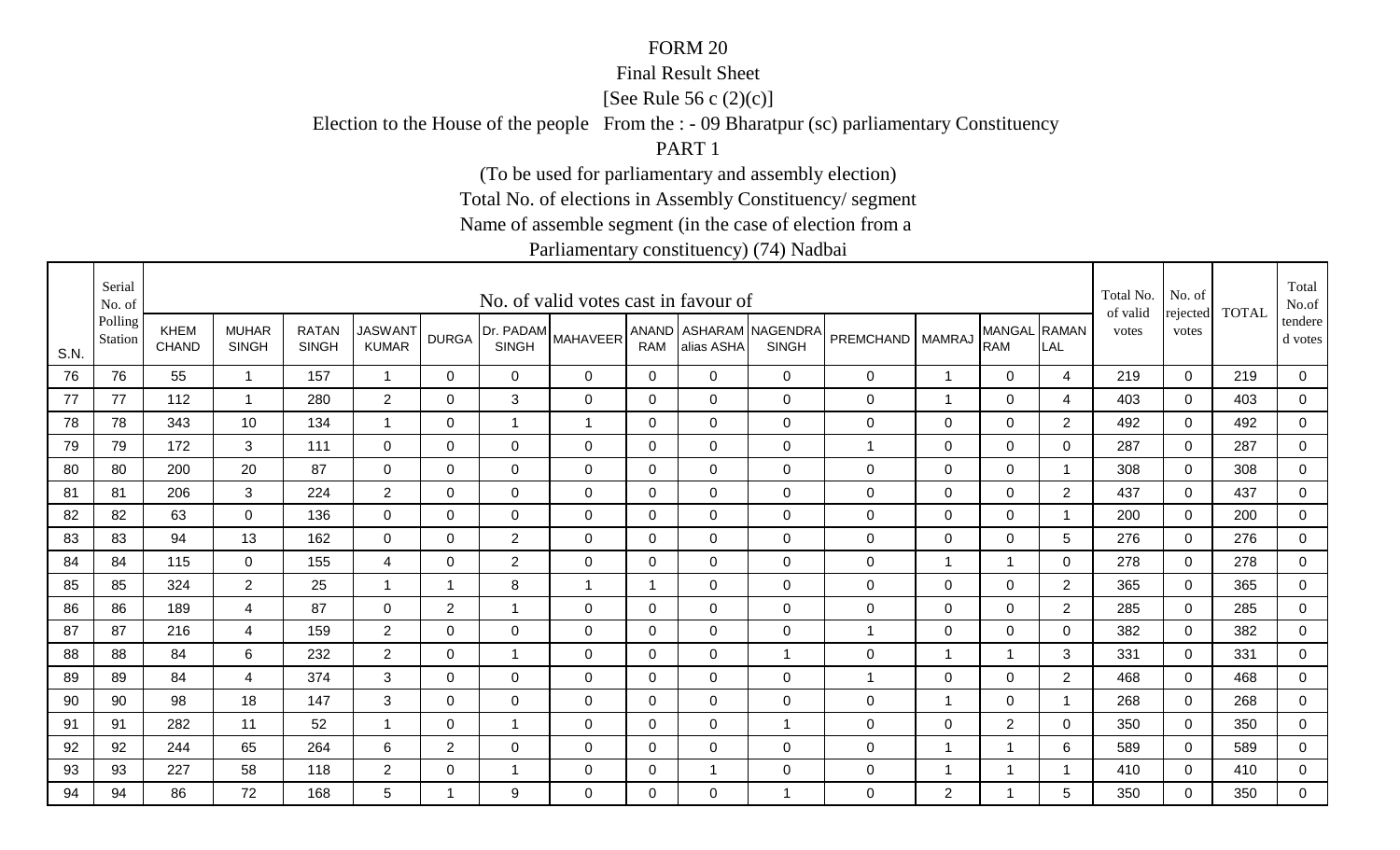### Final Result Sheet

[See Rule 56 c (2)(c)]

Election to the House of the people From the : - 09 Bharatpur (sc) parliamentary Constituency

PART 1

(To be used for parliamentary and assembly election)

Total No. of elections in Assembly Constituency/ segment

Name of assemble segment (in the case of election from a

|      | Serial<br>No. of   |                             |                              |                              |                                |                |                           | No. of valid votes cast in favour of |                |             |                                        |                    |                |                            |                | Total No.<br>of valid | No. of            | <b>TOTAL</b> | Total<br>No.of     |
|------|--------------------|-----------------------------|------------------------------|------------------------------|--------------------------------|----------------|---------------------------|--------------------------------------|----------------|-------------|----------------------------------------|--------------------|----------------|----------------------------|----------------|-----------------------|-------------------|--------------|--------------------|
| S.N. | Polling<br>Station | <b>KHEM</b><br><b>CHAND</b> | <b>MUHAR</b><br><b>SINGH</b> | <b>RATAN</b><br><b>SINGH</b> | <b>JASWANT</b><br><b>KUMAR</b> | <b>DURGA</b>   | Dr. PADAM<br><b>SINGH</b> | <b>MAHAVEER</b>                      | <b>RAM</b>     | alias ASHA  | ANAND ASHARAM NAGENDRA<br><b>SINGH</b> | PREMCHAND   MAMRAJ |                | MANGAL RAMAN<br><b>RAM</b> | LAL            | votes                 | rejected<br>votes |              | tendere<br>d votes |
| 76   | 76                 | 55                          | $\mathbf{1}$                 | 157                          | $\mathbf{1}$                   | 0              | 0                         | 0                                    | 0              | 0           | $\mathbf 0$                            | 0                  | $\mathbf{1}$   | $\mathbf 0$                | 4              | 219                   | $\mathbf 0$       | 219          | 0                  |
| 77   | 77                 | 112                         | $\mathbf{1}$                 | 280                          | $\overline{2}$                 | $\Omega$       | 3                         | $\mathbf 0$                          | 0              | 0           | $\mathbf 0$                            | 0                  | $\mathbf{1}$   | $\mathbf 0$                | 4              | 403                   | $\mathbf 0$       | 403          | $\mathbf 0$        |
| 78   | 78                 | 343                         | 10                           | 134                          | $\overline{1}$                 | 0              | 1                         | $\overline{1}$                       | $\mathbf 0$    | 0           | $\mathbf 0$                            | 0                  | 0              | 0                          | $\overline{2}$ | 492                   | 0                 | 492          | 0                  |
| 79   | 79                 | 172                         | 3                            | 111                          | 0                              | 0              | 0                         | 0                                    | 0              | 0           | $\mathbf 0$                            | 1                  | $\mathbf 0$    | $\mathbf 0$                | 0              | 287                   | $\mathbf 0$       | 287          | $\overline{0}$     |
| 80   | 80                 | 200                         | 20                           | 87                           | $\mathbf 0$                    | $\Omega$       | 0                         | $\mathbf 0$                          | 0              | 0           | $\mathbf 0$                            | $\mathbf 0$        | $\mathbf 0$    | $\mathbf 0$                | -1             | 308                   | $\mathbf 0$       | 308          | $\overline{0}$     |
| 81   | 81                 | 206                         | 3                            | 224                          | $\overline{2}$                 | 0              | 0                         | $\mathbf 0$                          | 0              | 0           | $\mathbf 0$                            | $\mathbf 0$        | $\mathbf 0$    | $\overline{0}$             | 2              | 437                   | 0                 | 437          | $\overline{0}$     |
| 82   | 82                 | 63                          | $\overline{0}$               | 136                          | 0                              | $\Omega$       | $\mathbf 0$               | $\mathbf 0$                          | 0              | $\Omega$    | $\mathbf 0$                            | 0                  | 0              | $\mathbf 0$                | -1             | 200                   | $\Omega$          | 200          | 0                  |
| 83   | 83                 | 94                          | 13                           | 162                          | $\mathbf 0$                    | 0              | $\overline{2}$            | $\mathbf 0$                          | $\mathbf 0$    | 0           | $\mathbf 0$                            | $\mathbf 0$        | $\mathbf 0$    | $\mathbf 0$                | 5              | 276                   | $\mathbf 0$       | 276          | 0                  |
| 84   | 84                 | 115                         | $\mathbf 0$                  | 155                          | 4                              | 0              | $\overline{2}$            | 0                                    | $\mathbf 0$    | 0           | $\mathbf 0$                            | 0                  | $\mathbf 1$    | 1                          | 0              | 278                   | $\Omega$          | 278          | 0                  |
| 85   | 85                 | 324                         | $\overline{2}$               | 25                           | $\overline{1}$                 | $\mathbf 1$    | 8                         | $\overline{1}$                       | $\overline{1}$ | $\mathbf 0$ | $\mathbf 0$                            | $\mathbf 0$        | $\mathbf 0$    | $\mathbf 0$                | $\overline{2}$ | 365                   | $\mathbf 0$       | 365          | $\overline{0}$     |
| 86   | 86                 | 189                         | 4                            | 87                           | 0                              | $\overline{2}$ | 1                         | 0                                    | 0              | 0           | $\mathbf 0$                            | $\mathbf 0$        | 0              | $\mathbf 0$                | $\overline{2}$ | 285                   | 0                 | 285          | $\overline{0}$     |
| 87   | 87                 | 216                         | 4                            | 159                          | $\overline{2}$                 | 0              | $\mathbf 0$               | $\mathbf 0$                          | 0              | 0           | $\mathbf 0$                            | 1                  | $\mathbf 0$    | $\mathbf 0$                | 0              | 382                   | 0                 | 382          | 0                  |
| 88   | 88                 | 84                          | 6                            | 232                          | $\overline{2}$                 | 0              | $\overline{1}$            | $\mathbf 0$                          | 0              | 0           | $\overline{1}$                         | $\mathbf 0$        | $\overline{1}$ | 1                          | 3              | 331                   | $\mathbf 0$       | 331          | $\overline{0}$     |
| 89   | 89                 | 84                          | 4                            | 374                          | 3                              | $\Omega$       | 0                         | 0                                    | $\mathbf{0}$   | $\Omega$    | $\mathbf 0$                            | 1                  | 0              | $\mathbf 0$                | $\overline{2}$ | 468                   | $\Omega$          | 468          | 0                  |
| 90   | 90                 | 98                          | 18                           | 147                          | 3                              | $\mathbf 0$    | $\mathbf 0$               | $\mathbf 0$                          | $\mathbf 0$    | $\mathbf 0$ | $\mathbf 0$                            | $\mathbf 0$        | $\overline{1}$ | $\mathbf 0$                | $\overline{1}$ | 268                   | $\mathbf 0$       | 268          | $\overline{0}$     |
| 91   | 91                 | 282                         | 11                           | 52                           | $\overline{1}$                 | 0              | $\overline{1}$            | 0                                    | 0              | 0           | $\overline{1}$                         | $\mathbf 0$        | 0              | $\overline{2}$             | $\overline{0}$ | 350                   | $\mathbf 0$       | 350          | 0                  |
| 92   | 92                 | 244                         | 65                           | 264                          | 6                              | $\overline{2}$ | $\mathbf 0$               | $\mathbf 0$                          | 0              | 0           | $\mathbf 0$                            | $\mathbf 0$        | -1             |                            | 6              | 589                   | $\mathbf 0$       | 589          | 0                  |
| 93   | 93                 | 227                         | 58                           | 118                          | $\overline{2}$                 | 0              | $\overline{\phantom{a}}$  | $\mathbf 0$                          | 0              |             | $\mathbf 0$                            | $\mathbf 0$        | -1             |                            |                | 410                   | $\mathbf 0$       | 410          | $\overline{0}$     |
| 94   | 94                 | 86                          | 72                           | 168                          | 5                              | $\mathbf 1$    | 9                         | $\Omega$                             | $\Omega$       | $\Omega$    | $\overline{1}$                         | 0                  | 2              | 1                          | 5              | 350                   | $\Omega$          | 350          | $\overline{0}$     |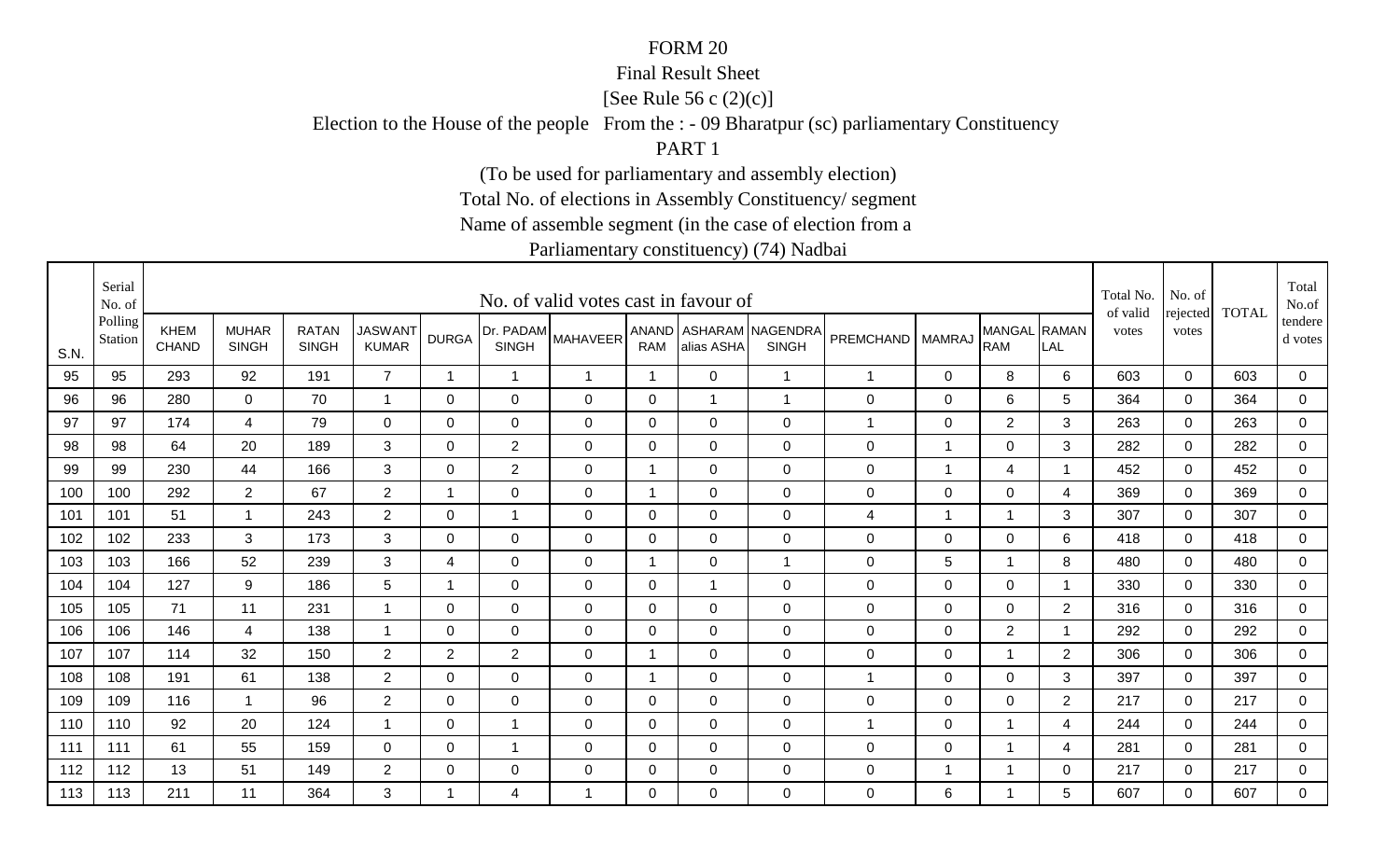#### Final Result Sheet

[See Rule 56 c (2)(c)]

Election to the House of the people From the : - 09 Bharatpur (sc) parliamentary Constituency

PART 1

(To be used for parliamentary and assembly election)

Total No. of elections in Assembly Constituency/ segment

Name of assemble segment (in the case of election from a

|      | Serial<br>No. of   |                             |                              |                              |                                |                         |                | No. of valid votes cast in favour of |                |                |                                        |              |                |                            |                         | Total No.<br>of valid | No. of            | <b>TOTAL</b> | Total<br>No.of       |
|------|--------------------|-----------------------------|------------------------------|------------------------------|--------------------------------|-------------------------|----------------|--------------------------------------|----------------|----------------|----------------------------------------|--------------|----------------|----------------------------|-------------------------|-----------------------|-------------------|--------------|----------------------|
| S.N. | Polling<br>Station | <b>KHEM</b><br><b>CHAND</b> | <b>MUHAR</b><br><b>SINGH</b> | <b>RATAN</b><br><b>SINGH</b> | <b>JASWANT</b><br><b>KUMAR</b> | <b>DURGA</b>            | <b>SINGH</b>   | [Dr. PADAM MAHAVEER <sup>1</sup>     | <b>RAM</b>     | alias ASHA     | ANAND ASHARAM NAGENDRA<br><b>SINGH</b> | PREMCHAND    | <b>MAMRAJ</b>  | MANGAL RAMAN<br><b>RAM</b> | LAL                     | votes                 | rejected<br>votes |              | tendere  <br>d votes |
| 95   | 95                 | 293                         | 92                           | 191                          | $\overline{7}$                 | $\overline{\mathbf{A}}$ | $\mathbf{1}$   | $\mathbf 1$                          | $\overline{1}$ | $\mathbf 0$    | $\overline{1}$                         | $\mathbf{1}$ | 0              | 8                          | 6                       | 603                   | $\mathbf 0$       | 603          | 0                    |
| 96   | 96                 | 280                         | $\Omega$                     | 70                           | $\mathbf 1$                    | 0                       | 0              | 0                                    | $\overline{0}$ | -1             | $\overline{1}$                         | 0            | 0              | 6                          | 5                       | 364                   | $\Omega$          | 364          | $\mathbf 0$          |
| 97   | 97                 | 174                         | 4                            | 79                           | $\mathbf 0$                    | 0                       | 0              | 0                                    | 0              | 0              | $\mathbf 0$                            | 1            | 0              | $\overline{2}$             | 3                       | 263                   | 0                 | 263          | 0                    |
| 98   | 98                 | 64                          | 20                           | 189                          | 3                              | 0                       | $\overline{2}$ | 0                                    | 0              | $\Omega$       | $\mathbf 0$                            | $\mathbf 0$  | $\mathbf 1$    | $\mathbf 0$                | 3                       | 282                   | $\Omega$          | 282          | 0                    |
| 99   | 99                 | 230                         | 44                           | 166                          | 3                              | $\Omega$                | $\overline{2}$ | $\mathbf 0$                          | $\overline{1}$ | $\Omega$       | $\overline{0}$                         | $\mathsf 0$  | $\mathbf{1}$   | $\overline{4}$             | -1                      | 452                   | $\Omega$          | 452          | $\overline{0}$       |
| 100  | 100                | 292                         | $\overline{2}$               | 67                           | $\overline{2}$                 | 1                       | $\mathbf 0$    | $\mathbf 0$                          | $\overline{1}$ | $\mathbf 0$    | $\overline{0}$                         | $\mathbf 0$  | $\mathbf 0$    | $\mathbf 0$                | 4                       | 369                   | $\mathbf 0$       | 369          | $\overline{0}$       |
| 101  | 101                | 51                          | -1                           | 243                          | $\overline{2}$                 | $\Omega$                | $\overline{1}$ | $\mathbf 0$                          | $\mathbf 0$    | $\mathbf 0$    | $\overline{0}$                         | 4            | $\overline{1}$ |                            | 3                       | 307                   | $\mathbf 0$       | 307          | 0                    |
| 102  | 102                | 233                         | 3                            | 173                          | 3                              | 0                       | 0              | $\mathbf 0$                          | 0              | $\mathbf 0$    | $\mathbf 0$                            | 0            | $\mathbf 0$    | $\pmb{0}$                  | 6                       | 418                   | 0                 | 418          | 0                    |
| 103  | 103                | 166                         | 52                           | 239                          | 3                              | 4                       | 0              | 0                                    | 1              | 0              | $\overline{1}$                         | $\mathbf 0$  | 5              |                            | 8                       | 480                   | $\Omega$          | 480          | 0                    |
| 104  | 104                | 127                         | 9                            | 186                          | $5\overline{)}$                | -1                      | $\Omega$       | $\mathbf 0$                          | 0              | -1             | $\overline{0}$                         | 0            | $\mathbf 0$    | $\pmb{0}$                  | $\overline{\mathbf{1}}$ | 330                   | $\mathbf 0$       | 330          | $\overline{0}$       |
| 105  | 105                | 71                          | 11                           | 231                          | $\mathbf 1$                    | 0                       | 0              | 0                                    | $\mathbf 0$    | 0              | $\mathbf 0$                            | $\mathbf 0$  | 0              | $\pmb{0}$                  | $\overline{2}$          | 316                   | 0                 | 316          | $\mathbf 0$          |
| 106  | 106                | 146                         | 4                            | 138                          | -1                             | 0                       | 0              | 0                                    | 0              | $\overline{0}$ | $\mathbf 0$                            | $\mathbf 0$  | 0              | $\overline{2}$             | - 1                     | 292                   | $\Omega$          | 292          | 0                    |
| 107  | 107                | 114                         | 32                           | 150                          | $\overline{2}$                 | $\overline{2}$          | $\overline{2}$ | 0                                    | 1              | $\mathbf 0$    | $\mathbf 0$                            | 0            | $\mathbf 0$    |                            | $\overline{2}$          | 306                   | $\mathbf 0$       | 306          | $\overline{0}$       |
| 108  | 108                | 191                         | 61                           | 138                          | $2^{\circ}$                    | $\Omega$                | $\mathbf 0$    | 0                                    | -1             | 0              | $\overline{0}$                         | $\mathbf{1}$ | 0              | $\mathbf 0$                | 3                       | 397                   | $\Omega$          | 397          | 0                    |
| 109  | 109                | 116                         | $\overline{1}$               | 96                           | $\overline{2}$                 | $\mathbf 0$             | $\mathbf 0$    | $\mathbf 0$                          | $\mathbf 0$    | $\overline{0}$ | $\mathbf 0$                            | $\mathsf 0$  | $\mathbf 0$    | $\mathsf 0$                | $\overline{2}$          | 217                   | $\mathbf 0$       | 217          | $\mathbf 0$          |
| 110  | 110                | 92                          | 20                           | 124                          | $\mathbf 1$                    | 0                       | $\mathbf 1$    | 0                                    | 0              | 0              | $\mathbf 0$                            | $\mathbf{1}$ | 0              | $\mathbf 1$                | 4                       | 244                   | $\Omega$          | 244          | $\mathbf 0$          |
| 111  | 111                | 61                          | 55                           | 159                          | $\mathbf 0$                    | 0                       | $\mathbf 1$    | 0                                    | 0              | 0              | $\mathbf 0$                            | $\mathbf 0$  | $\mathbf 0$    |                            | 4                       | 281                   | $\mathbf 0$       | 281          | 0                    |
| 112  | 112                | 13                          | 51                           | 149                          | $\overline{2}$                 | 0                       | 0              | $\mathbf 0$                          | 0              | 0              | $\mathbf 0$                            | $\mathbf 0$  | -1             |                            | 0                       | 217                   | $\mathbf 0$       | 217          | $\overline{0}$       |
| 113  | 113                | 211                         | 11                           | 364                          | 3                              | -1                      | 4              | 1                                    | $\Omega$       | $\Omega$       | $\Omega$                               | 0            | 6              |                            | 5                       | 607                   | $\Omega$          | 607          | $\mathbf 0$          |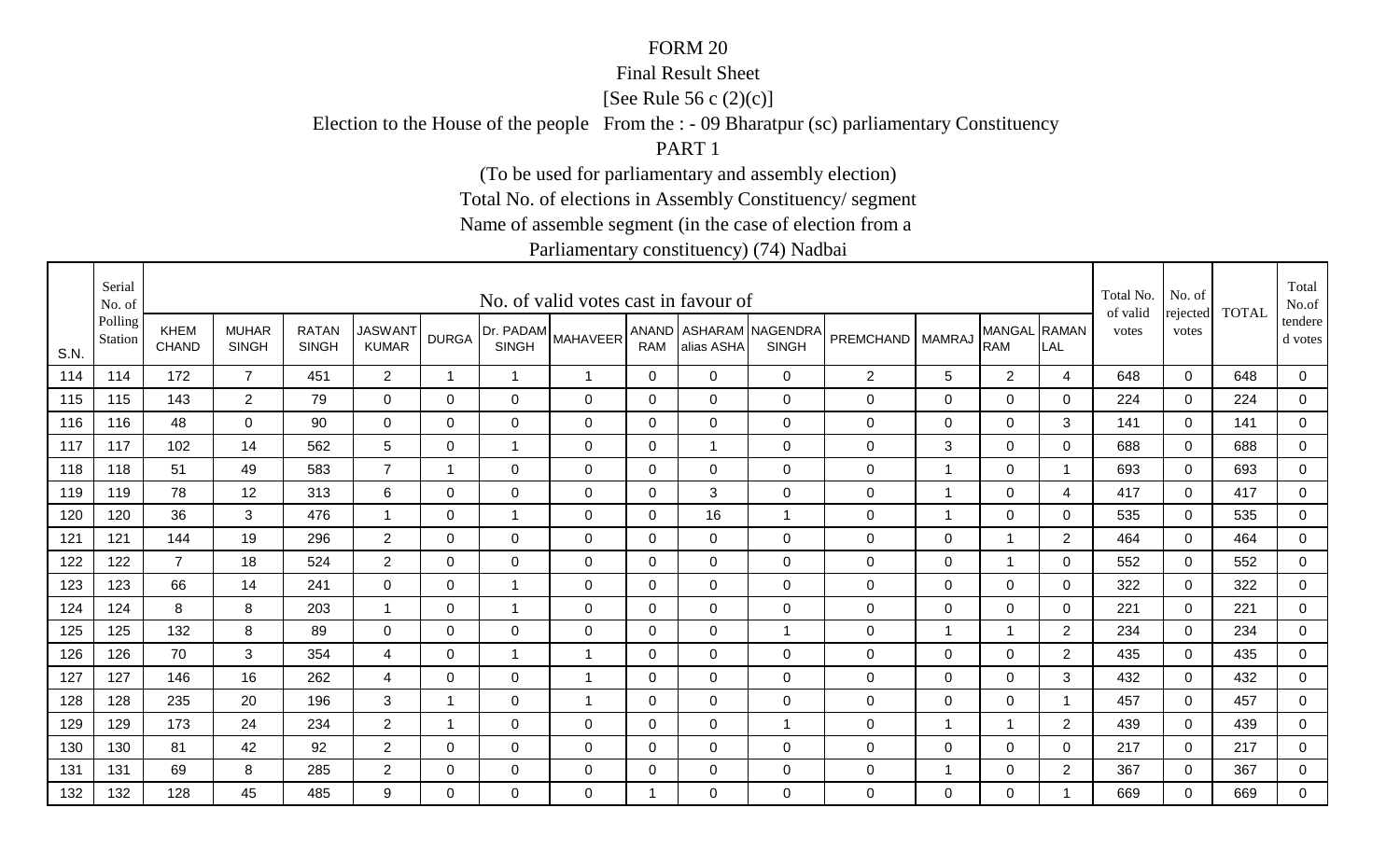### Final Result Sheet

[See Rule 56 c (2)(c)]

Election to the House of the people From the : - 09 Bharatpur (sc) parliamentary Constituency

PART 1

(To be used for parliamentary and assembly election)

Total No. of elections in Assembly Constituency/ segment

Name of assemble segment (in the case of election from a

|      | Serial<br>No. of   |                             |                              |                              |                                |                |                | No. of valid votes cast in favour of |             |                |                                        |                  |                |                            |                | Total No.<br>of valid | No. of            | <b>TOTAL</b> | Total<br>No.of       |
|------|--------------------|-----------------------------|------------------------------|------------------------------|--------------------------------|----------------|----------------|--------------------------------------|-------------|----------------|----------------------------------------|------------------|----------------|----------------------------|----------------|-----------------------|-------------------|--------------|----------------------|
| S.N. | Polling<br>Station | <b>KHEM</b><br><b>CHAND</b> | <b>MUHAR</b><br><b>SINGH</b> | <b>RATAN</b><br><b>SINGH</b> | <b>JASWANT</b><br><b>KUMAR</b> | <b>DURGA</b>   | <b>SINGH</b>   | [Dr. PADAM MAHAVEER <sup>1</sup>     | <b>RAM</b>  | alias ASHA     | ANAND ASHARAM NAGENDRA<br><b>SINGH</b> | PREMCHAND        | <b>MAMRAJ</b>  | MANGAL RAMAN<br><b>RAM</b> | LAL            | votes                 | rejected<br>votes |              | tendere  <br>d votes |
| 114  | 114                | 172                         | $\overline{7}$               | 451                          | $2^{\circ}$                    | $\overline{ }$ | $\mathbf{1}$   | $\mathbf{1}$                         | 0           | $\Omega$       | $\mathbf 0$                            | $\overline{2}$   | $\sqrt{5}$     | $\overline{2}$             | $\overline{4}$ | 648                   | $\mathbf 0$       | 648          | 0                    |
| 115  | 115                | 143                         | $\overline{2}$               | 79                           | 0                              | 0              | 0              | 0                                    | $\mathbf 0$ | 0              | $\overline{0}$                         | 0                | 0              | $\mathbf 0$                | $\mathbf 0$    | 224                   | $\Omega$          | 224          | $\mathbf 0$          |
| 116  | 116                | 48                          | 0                            | 90                           | $\mathbf 0$                    | 0              | 0              | 0                                    | 0           | 0              | $\mathbf 0$                            | $\mathbf 0$      | $\mathbf 0$    | 0                          | 3              | 141                   | 0                 | 141          | 0                    |
| 117  | 117                | 102                         | 14                           | 562                          | 5                              | 0              | $\mathbf 1$    | 0                                    | 0           | -1             | $\mathbf 0$                            | $\mathbf 0$      | 3              | $\mathbf 0$                | 0              | 688                   | $\Omega$          | 688          | 0                    |
| 118  | 118                | 51                          | 49                           | 583                          | $\overline{7}$                 | $\overline{1}$ | $\overline{0}$ | $\mathbf 0$                          | $\mathbf 0$ | $\Omega$       | $\overline{0}$                         | $\mathsf 0$      | $\mathbf{1}$   | $\mathbf 0$                | -1             | 693                   | $\Omega$          | 693          | $\overline{0}$       |
| 119  | 119                | 78                          | 12                           | 313                          | 6                              | $\mathbf 0$    | $\mathbf 0$    | $\mathbf 0$                          | $\mathbf 0$ | 3              | $\overline{0}$                         | $\mathsf 0$      | $\mathbf{1}$   | $\mathbf 0$                | 4              | 417                   | $\mathbf 0$       | 417          | $\overline{0}$       |
| 120  | 120                | 36                          | 3                            | 476                          | -1                             | $\mathbf 0$    | $\overline{1}$ | $\mathbf 0$                          | $\mathbf 0$ | 16             | $\overline{1}$                         | $\mathsf 0$      | $\overline{1}$ | $\mathbf 0$                | $\Omega$       | 535                   | $\mathbf 0$       | 535          | 0                    |
| 121  | 121                | 144                         | 19                           | 296                          | $\overline{2}$                 | 0              | 0              | $\mathbf 0$                          | 0           | $\mathbf 0$    | $\mathbf 0$                            | 0                | $\mathbf 0$    |                            | $\overline{2}$ | 464                   | 0                 | 464          | 0                    |
| 122  | 122                | $\overline{7}$              | 18                           | 524                          | $2^{\circ}$                    | $\Omega$       | 0              | $\mathbf{0}$                         | 0           | 0              | $\overline{0}$                         | $\mathbf 0$      | 0              |                            | $\Omega$       | 552                   | $\Omega$          | 552          | 0                    |
| 123  | 123                | 66                          | 14                           | 241                          | $\overline{0}$                 | $\Omega$       | $\mathbf{1}$   | $\mathbf 0$                          | $\Omega$    | $\overline{0}$ | $\overline{0}$                         | 0                | $\mathbf 0$    | $\pmb{0}$                  | $\Omega$       | 322                   | $\mathbf 0$       | 322          | $\overline{0}$       |
| 124  | 124                | 8                           | 8                            | 203                          | $\mathbf 1$                    | 0              | $\mathbf{1}$   | 0                                    | $\mathbf 0$ | $\mathbf 0$    | $\mathbf 0$                            | $\mathbf 0$      | 0              | $\pmb{0}$                  | 0              | 221                   | 0                 | 221          | $\mathbf 0$          |
| 125  | 125                | 132                         | 8                            | 89                           | 0                              | 0              | $\mathbf 0$    | 0                                    | 0           | $\mathbf 0$    | $\overline{1}$                         | $\mathbf 0$      | $\overline{1}$ |                            | $\overline{2}$ | 234                   | $\Omega$          | 234          | 0                    |
| 126  | 126                | 70                          | 3                            | 354                          | $\overline{4}$                 | 0              | $\mathbf 1$    | 1                                    | $\mathbf 0$ | $\overline{0}$ | $\mathbf 0$                            | 0                | $\mathbf 0$    | $\pmb{0}$                  | $\overline{2}$ | 435                   | $\mathbf 0$       | 435          | $\overline{0}$       |
| 127  | 127                | 146                         | 16                           | 262                          | 4                              | $\Omega$       | $\mathbf 0$    | $\mathbf 1$                          | $\Omega$    | 0              | $\overline{0}$                         | $\mathbf 0$      | 0              | $\mathbf 0$                | 3              | 432                   | $\Omega$          | 432          | 0                    |
| 128  | 128                | 235                         | 20                           | 196                          | 3                              |                | $\mathbf 0$    | 1                                    | $\mathbf 0$ | $\overline{0}$ | $\mathbf 0$                            | $\boldsymbol{0}$ | $\mathbf 0$    | $\mathsf 0$                | $\overline{1}$ | 457                   | $\mathbf 0$       | 457          | $\mathbf 0$          |
| 129  | 129                | 173                         | 24                           | 234                          | $\overline{2}$                 | $\overline{1}$ | 0              | $\mathbf 0$                          | 0           | 0              | $\overline{1}$                         | $\mathbf 0$      | $\overline{1}$ | $\mathbf{1}$               | $\overline{2}$ | 439                   | $\Omega$          | 439          | $\mathbf 0$          |
| 130  | 130                | 81                          | 42                           | 92                           | $\overline{2}$                 | 0              | 0              | 0                                    | 0           | 0              | $\mathbf 0$                            | $\mathbf 0$      | $\mathbf 0$    | 0                          | $\mathbf 0$    | 217                   | 0                 | 217          | 0                    |
| 131  | 131                | 69                          | 8                            | 285                          | $\overline{2}$                 | 0              | 0              | $\mathbf 0$                          | 0           | 0              | $\mathbf 0$                            | $\mathbf 0$      | -1             | $\mathbf 0$                | $\overline{2}$ | 367                   | $\mathbf 0$       | 367          | $\overline{0}$       |
| 132  | 132                | 128                         | 45                           | 485                          | 9                              | $\Omega$       | $\Omega$       | $\Omega$                             | 1           | $\Omega$       | $\Omega$                               | 0                | $\Omega$       | 0                          | -1             | 669                   | $\Omega$          | 669          | $\mathbf 0$          |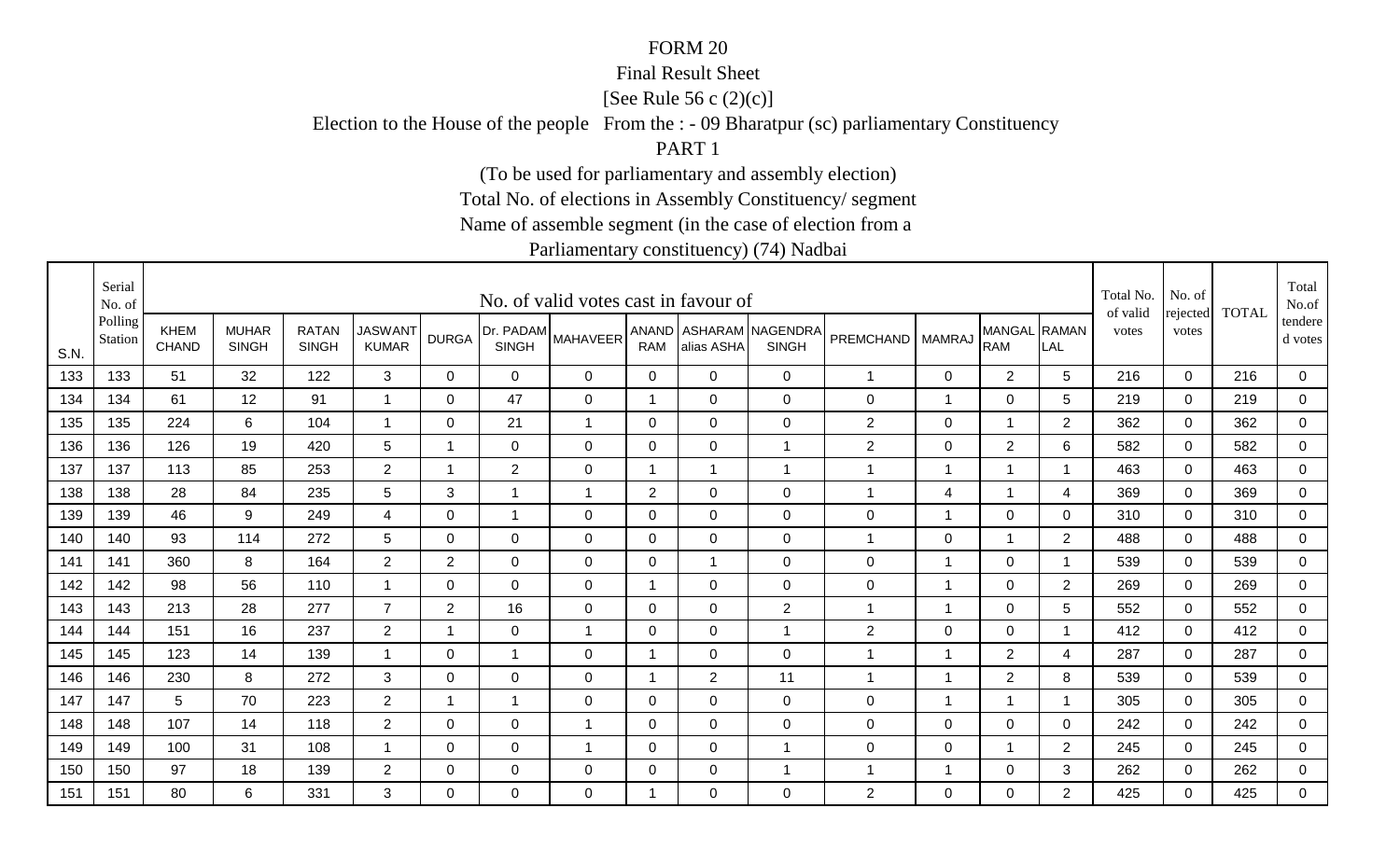### Final Result Sheet

[See Rule 56 c (2)(c)]

Election to the House of the people From the : - 09 Bharatpur (sc) parliamentary Constituency

PART 1

(To be used for parliamentary and assembly election)

Total No. of elections in Assembly Constituency/ segment

Name of assemble segment (in the case of election from a

|      | Serial<br>No. of   |                             |                              |                              |                                |                |                           | No. of valid votes cast in favour of |                |                |                                        |                  |                          |                            |                | Total No.<br>of valid | No. of            | <b>TOTAL</b> | Total<br>No.of       |
|------|--------------------|-----------------------------|------------------------------|------------------------------|--------------------------------|----------------|---------------------------|--------------------------------------|----------------|----------------|----------------------------------------|------------------|--------------------------|----------------------------|----------------|-----------------------|-------------------|--------------|----------------------|
| S.N. | Polling<br>Station | <b>KHEM</b><br><b>CHAND</b> | <b>MUHAR</b><br><b>SINGH</b> | <b>RATAN</b><br><b>SINGH</b> | <b>JASWANT</b><br><b>KUMAR</b> | <b>DURGA</b>   | Dr. PADAM<br><b>SINGH</b> | <b>MAHAVEER</b>                      | <b>RAM</b>     | alias ASHA     | ANAND ASHARAM NAGENDRA<br><b>SINGH</b> | <b>PREMCHAND</b> | <b>MAMRAJ</b>            | MANGAL RAMAN<br><b>RAM</b> | LAL            | votes                 | rejected<br>votes |              | tendere  <br>d votes |
| 133  | 133                | 51                          | 32                           | 122                          | $\mathbf{3}$                   | $\Omega$       | 0                         | 0                                    | $\mathbf 0$    | $\Omega$       | $\mathbf 0$                            | $\mathbf{1}$     | 0                        | $\overline{2}$             | 5              | 216                   | $\mathbf 0$       | 216          | 0                    |
| 134  | 134                | 61                          | 12                           | 91                           | -1                             | $\Omega$       | 47                        | 0                                    | $\mathbf 1$    | 0              | $\mathbf 0$                            | 0                | $\mathbf 1$              | 0                          | 5              | 219                   | $\Omega$          | 219          | $\mathbf 0$          |
| 135  | 135                | 224                         | 6                            | 104                          | -1                             | 0              | 21                        | $\mathbf{1}$                         | 0              | 0              | $\mathbf 0$                            | 2                | 0                        | $\mathbf 1$                | 2              | 362                   | 0                 | 362          | 0                    |
| 136  | 136                | 126                         | 19                           | 420                          | $5\phantom{.0}$                | 1              | 0                         | $\Omega$                             | 0              | $\Omega$       | $\overline{1}$                         | $\overline{c}$   | 0                        | $\overline{2}$             | 6              | 582                   | $\Omega$          | 582          | 0                    |
| 137  | 137                | 113                         | 85                           | 253                          | $\overline{2}$                 | $\mathbf 1$    | $\overline{2}$            | $\mathbf 0$                          | $\mathbf 1$    |                | $\overline{1}$                         | $\mathbf 1$      | $\overline{1}$           | $\mathbf 1$                | -1             | 463                   | $\Omega$          | 463          | $\overline{0}$       |
| 138  | 138                | 28                          | 84                           | 235                          | 5                              | 3              | 1                         | $\mathbf 1$                          | 2              | $\mathbf 0$    | $\mathbf 0$                            | 1                | $\overline{\mathcal{A}}$ | $\overline{1}$             | 4              | 369                   | $\mathbf 0$       | 369          | $\overline{0}$       |
| 139  | 139                | 46                          | 9                            | 249                          | $\overline{4}$                 | $\mathbf 0$    | $\overline{A}$            | $\mathbf 0$                          | $\mathbf 0$    | $\mathbf 0$    | $\mathbf 0$                            | $\mathbf 0$      | $\overline{1}$           | $\mathbf 0$                | $\Omega$       | 310                   | $\Omega$          | 310          | 0                    |
| 140  | 140                | 93                          | 114                          | 272                          | $5\overline{)}$                | 0              | $\mathbf 0$               | $\mathbf 0$                          | 0              | $\mathbf 0$    | $\mathbf 0$                            | 1                | $\mathbf 0$              | 1                          | $\overline{2}$ | 488                   | $\mathbf 0$       | 488          | 0                    |
| 141  | 141                | 360                         | 8                            | 164                          | $\overline{2}$                 | $\overline{2}$ | 0                         | $\mathbf 0$                          | 0              |                | $\mathbf 0$                            | $\mathbf 0$      | -1                       | $\mathbf 0$                | -1             | 539                   | $\mathbf 0$       | 539          | 0                    |
| 142  | 142                | 98                          | 56                           | 110                          | $\overline{1}$                 | $\Omega$       | $\mathbf 0$               | $\mathbf 0$                          | $\overline{1}$ | $\mathbf 0$    | $\mathbf 0$                            | 0                | $\overline{1}$           | $\mathbf 0$                | 2              | 269                   | $\mathbf 0$       | 269          | $\overline{0}$       |
| 143  | 143                | 213                         | 28                           | 277                          | $\overline{7}$                 | $\overline{2}$ | 16                        | $\mathbf 0$                          | $\mathbf 0$    | 0              | $\overline{2}$                         | $\mathbf{1}$     | $\overline{1}$           | 0                          | 5              | 552                   | 0                 | 552          | $\mathbf 0$          |
| 144  | 144                | 151                         | 16                           | 237                          | $\overline{2}$                 | 1              | $\mathbf 0$               | $\overline{1}$                       | 0              | $\overline{0}$ | $\overline{1}$                         | $\mathbf{2}$     | $\mathbf 0$              | $\mathbf 0$                | -1             | 412                   | $\Omega$          | 412          | 0                    |
| 145  | 145                | 123                         | 14                           | 139                          | -1                             | 0              | 1                         | $\mathbf 0$                          | -1             | 0              | $\mathbf 0$                            | 1                | -1                       | $\overline{2}$             | 4              | 287                   | $\mathbf 0$       | 287          | $\overline{0}$       |
| 146  | 146                | 230                         | 8                            | 272                          | 3                              | $\Omega$       | $\mathbf 0$               | $\mathbf 0$                          | -1             | $\overline{2}$ | 11                                     | 1                | -1                       | 2                          | 8              | 539                   | $\Omega$          | 539          | 0                    |
| 147  | 147                | 5                           | 70                           | 223                          | $\overline{2}$                 | $\overline{1}$ | $\overline{1}$            | $\mathbf 0$                          | $\mathbf 0$    | $\mathbf 0$    | $\mathbf 0$                            | $\boldsymbol{0}$ | $\overline{1}$           | 1                          |                | 305                   | $\overline{0}$    | 305          | $\mathbf 0$          |
| 148  | 148                | 107                         | 14                           | 118                          | $\overline{2}$                 | 0              | $\mathbf 0$               | $\overline{1}$                       | 0              | 0              | $\mathbf 0$                            | $\mathbf 0$      | $\mathbf 0$              | 0                          | 0              | 242                   | $\Omega$          | 242          | $\mathbf 0$          |
| 149  | 149                | 100                         | 31                           | 108                          |                                | 0              | $\mathbf 0$               | -1                                   | 0              | 0              | $\overline{1}$                         | $\mathbf 0$      | $\mathbf 0$              |                            | $\overline{2}$ | 245                   | $\mathbf 0$       | 245          | 0                    |
| 150  | 150                | 97                          | 18                           | 139                          | $\overline{2}$                 | 0              | $\mathbf 0$               | 0                                    | 0              | 0              | $\mathbf 1$                            | 1                | -1                       | $\mathbf 0$                | 3              | 262                   | $\mathbf 0$       | 262          | $\overline{0}$       |
| 151  | 151                | 80                          | 6                            | 331                          | 3                              | $\Omega$       | 0                         | $\Omega$                             | -1             | $\Omega$       | $\mathbf 0$                            | $\overline{2}$   | $\Omega$                 | 0                          | $\overline{2}$ | 425                   | $\Omega$          | 425          | $\mathbf 0$          |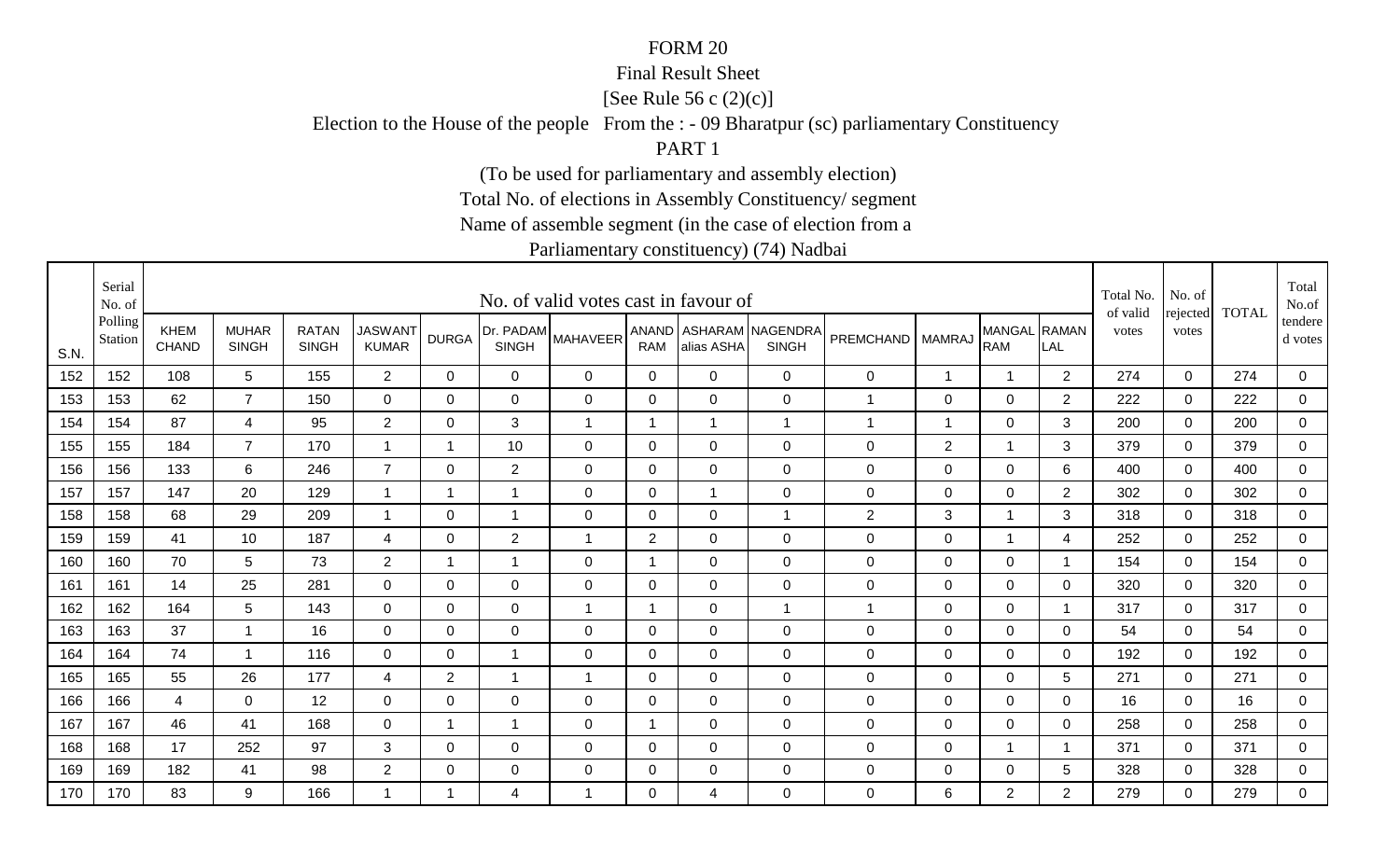### Final Result Sheet

[See Rule 56 c (2)(c)]

Election to the House of the people From the : - 09 Bharatpur (sc) parliamentary Constituency

PART 1

(To be used for parliamentary and assembly election)

Total No. of elections in Assembly Constituency/ segment

Name of assemble segment (in the case of election from a

|      | Serial<br>No. of   |                      |                              |                              |                                |              |                           | No. of valid votes cast in favour of |                     |                |                                  |                    |                |                            |                | Total No.<br>of valid | No. of<br>rejected | <b>TOTAL</b> | Total<br>No.of       |
|------|--------------------|----------------------|------------------------------|------------------------------|--------------------------------|--------------|---------------------------|--------------------------------------|---------------------|----------------|----------------------------------|--------------------|----------------|----------------------------|----------------|-----------------------|--------------------|--------------|----------------------|
| S.N. | Polling<br>Station | <b>KHEM</b><br>CHAND | <b>MUHAR</b><br><b>SINGH</b> | <b>RATAN</b><br><b>SINGH</b> | <b>JASWANT</b><br><b>KUMAR</b> | <b>DURGA</b> | Dr. PADAM<br><b>SINGH</b> | <b>MAHAVEER</b>                      | ANAND<br><b>RAM</b> | alias ASHA     | ASHARAM NAGENDRA<br><b>SINGH</b> | PREMCHAND   MAMRAJ |                | MANGAL RAMAN<br><b>RAM</b> | LAL            | votes                 | votes              |              | tendere  <br>d votes |
| 152  | 152                | 108                  | 5                            | 155                          | $\overline{2}$                 | $\mathbf 0$  | $\overline{0}$            | $\mathbf 0$                          | $\mathbf 0$         | $\mathbf 0$    | $\mathbf 0$                      | 0                  | $\overline{1}$ | $\mathbf 1$                | $\overline{2}$ | 274                   | $\mathbf 0$        | 274          | 0                    |
| 153  | 153                | 62                   | $\overline{7}$               | 150                          | $\mathbf 0$                    | $\Omega$     | $\overline{0}$            | $\mathbf 0$                          | 0                   | $\overline{0}$ | $\mathbf 0$                      | 1                  | $\mathbf 0$    | $\mathbf 0$                | $\overline{2}$ | 222                   | $\Omega$           | 222          | $\mathbf 0$          |
| 154  | 154                | 87                   | $\overline{4}$               | 95                           | $\overline{2}$                 | $\mathbf 0$  | 3                         | $\overline{1}$                       | $\overline{1}$      | $\mathbf{1}$   | $\mathbf{1}$                     | 1                  | -1             | $\overline{0}$             | 3              | 200                   | $\mathbf 0$        | 200          | $\mathbf 0$          |
| 155  | 155                | 184                  | $\overline{7}$               | 170                          | $\overline{\mathbf{1}}$        | -1           | 10                        | 0                                    | 0                   | $\mathbf 0$    | $\mathbf 0$                      | $\mathbf 0$        | $\overline{2}$ | 1                          | 3              | 379                   | $\Omega$           | 379          | 0                    |
| 156  | 156                | 133                  | 6                            | 246                          | $\overline{7}$                 | 0            | 2                         | $\mathbf 0$                          | $\mathbf 0$         | $\overline{0}$ | $\mathbf 0$                      | $\pmb{0}$          | $\mathbf 0$    | $\mathbf 0$                | 6              | 400                   | $\mathbf 0$        | 400          | $\overline{0}$       |
| 157  | 157                | 147                  | 20                           | 129                          | -1                             | 1            | $\mathbf 1$               | $\mathbf 0$                          | 0                   | $\mathbf{1}$   | $\mathbf 0$                      | $\pmb{0}$          | $\mathbf 0$    | $\mathbf 0$                | $\overline{2}$ | 302                   | $\mathbf 0$        | 302          | 0                    |
| 158  | 158                | 68                   | 29                           | 209                          | -1                             | 0            | $\mathbf 1$               | 0                                    | 0                   | $\Omega$       | $\overline{1}$                   | $\overline{c}$     | 3              | $\overline{\mathbf{1}}$    | 3              | 318                   | $\mathbf{0}$       | 318          | 0                    |
| 159  | 159                | 41                   | 10                           | 187                          | $\overline{4}$                 | 0            | $\overline{2}$            | $\overline{1}$                       | $\overline{2}$      | $\overline{0}$ | $\mathbf 0$                      | $\mathbf 0$        | $\mathbf 0$    | 1                          | 4              | 252                   | $\mathbf 0$        | 252          | 0                    |
| 160  | 160                | 70                   | 5                            | 73                           | $\overline{2}$                 | 1            | $\mathbf 1$               | $\mathbf 0$                          | -1                  | $\mathbf 0$    | $\mathbf 0$                      | $\pmb{0}$          | $\overline{0}$ | $\mathbf 0$                | -1             | 154                   | $\mathbf 0$        | 154          | 0                    |
| 161  | 161                | 14                   | 25                           | 281                          | $\mathbf 0$                    | $\mathbf 0$  | $\mathbf 0$               | $\mathbf 0$                          | $\mathbf 0$         | $\mathbf 0$    | $\mathbf 0$                      | $\pmb{0}$          | $\mathbf 0$    | $\mathbf 0$                | $\mathbf 0$    | 320                   | $\mathbf 0$        | 320          | $\overline{0}$       |
| 162  | 162                | 164                  | 5                            | 143                          | $\mathbf 0$                    | $\Omega$     | $\mathbf 0$               | $\overline{1}$                       | -1                  | $\overline{0}$ | $\overline{1}$                   | 1                  | $\mathbf 0$    | $\mathbf 0$                |                | 317                   | 0                  | 317          | $\mathbf 0$          |
| 163  | 163                | 37                   | -1                           | 16                           | $\mathbf 0$                    | $\Omega$     | $\mathbf 0$               | $\mathbf 0$                          | 0                   | $\overline{0}$ | $\mathbf 0$                      | $\mathbf 0$        | $\mathbf 0$    | $\mathbf 0$                | 0              | 54                    | $\overline{0}$     | 54           | 0                    |
| 164  | 164                | 74                   | -1                           | 116                          | $\overline{0}$                 | 0            | 1                         | $\mathbf 0$                          | $\mathbf 0$         | $\overline{0}$ | $\mathbf 0$                      | $\pmb{0}$          | $\mathbf 0$    | $\mathbf 0$                | $\mathbf 0$    | 192                   | $\mathbf 0$        | 192          | $\overline{0}$       |
| 165  | 165                | 55                   | 26                           | 177                          | 4                              | 2            | $\mathbf{1}$              | $\overline{1}$                       | $\mathbf{0}$        | $\Omega$       | $\mathbf 0$                      | $\mathbf 0$        | $\mathbf{0}$   | $\mathbf 0$                | 5              | 271                   | $\Omega$           | 271          | $\mathbf 0$          |
| 166  | 166                | $\overline{4}$       | $\mathbf 0$                  | 12                           | $\mathbf 0$                    | $\Omega$     | $\mathbf 0$               | $\mathbf 0$                          | $\Omega$            | $\Omega$       | $\mathbf 0$                      | 0                  | $\overline{0}$ | $\mathbf 0$                | $\mathbf 0$    | 16                    | $\mathbf 0$        | 16           | $\overline{0}$       |
| 167  | 167                | 46                   | 41                           | 168                          | 0                              | -1           | 1                         | 0                                    | -1                  | $\mathbf 0$    | $\mathbf 0$                      | $\mathbf 0$        | 0              | $\mathbf 0$                | 0              | 258                   | 0                  | 258          | 0                    |
| 168  | 168                | 17                   | 252                          | 97                           | 3                              | 0            | $\mathbf 0$               | $\mathbf 0$                          | 0                   | $\overline{0}$ | $\mathbf 0$                      | $\mathbf 0$        | $\mathbf 0$    | 1                          |                | 371                   | 0                  | 371          | 0                    |
| 169  | 169                | 182                  | 41                           | 98                           | $\overline{2}$                 | 0            | 0                         | $\mathbf 0$                          | 0                   | $\mathbf 0$    | 0                                | $\mathbf 0$        | 0              | $\mathbf 0$                | 5              | 328                   | $\mathbf 0$        | 328          | $\overline{0}$       |
| 170  | 170                | 83                   | 9                            | 166                          |                                | -1           | 4                         | -1                                   | $\Omega$            | 4              | $\mathbf 0$                      | 0                  | 6              | $\overline{2}$             | $\overline{2}$ | 279                   | $\Omega$           | 279          | $\overline{0}$       |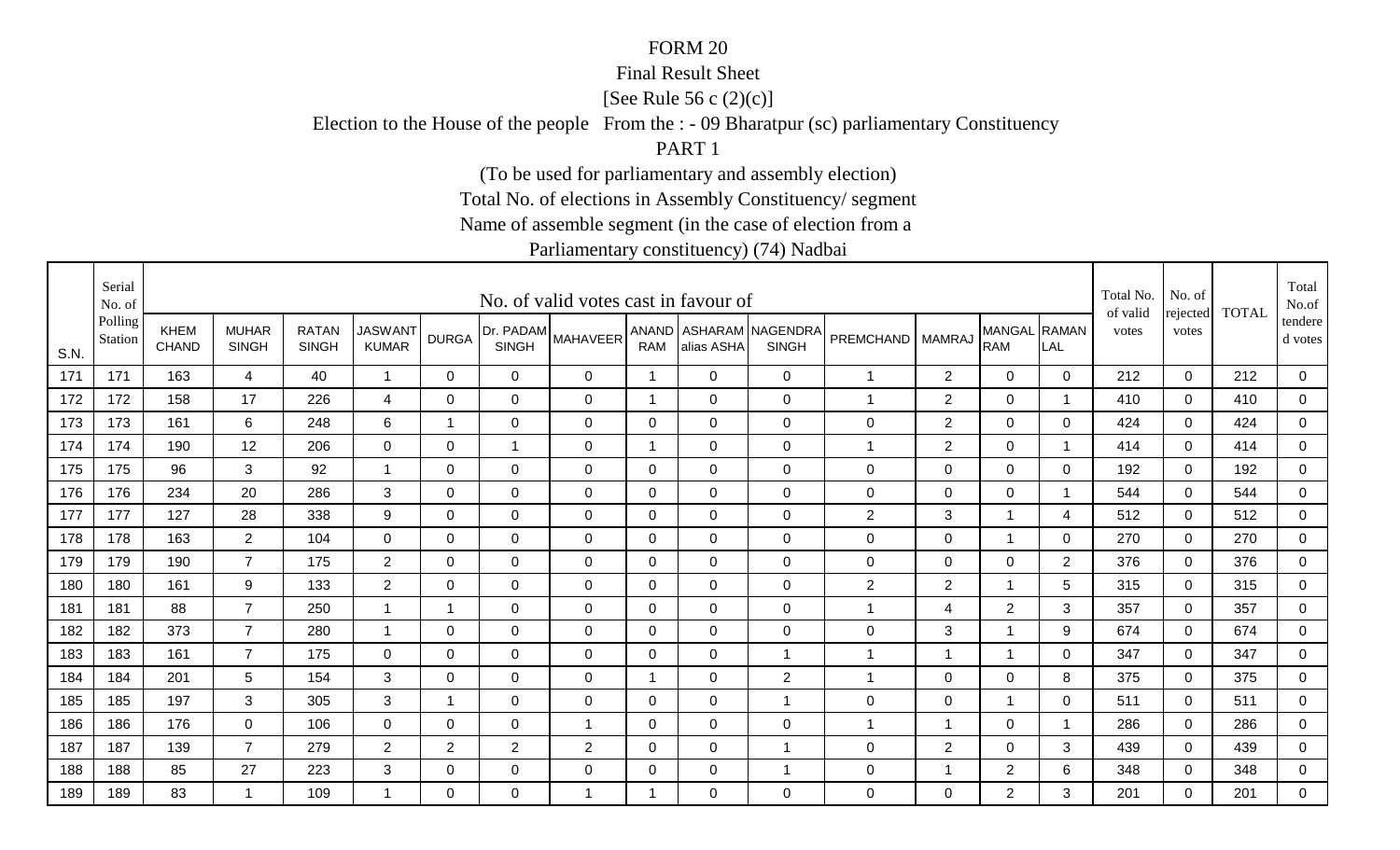### Final Result Sheet

[See Rule 56 c (2)(c)]

Election to the House of the people From the : - 09 Bharatpur (sc) parliamentary Constituency

PART 1

(To be used for parliamentary and assembly election)

Total No. of elections in Assembly Constituency/ segment

Name of assemble segment (in the case of election from a

|      | Serial<br>No. of   |                             |                              |                              |                                |              |                           | No. of valid votes cast in favour of |                |                |                                        |                    |                |                            |                | Total No.<br>of valid | No. of            | <b>TOTAL</b> | Total<br>No.of     |
|------|--------------------|-----------------------------|------------------------------|------------------------------|--------------------------------|--------------|---------------------------|--------------------------------------|----------------|----------------|----------------------------------------|--------------------|----------------|----------------------------|----------------|-----------------------|-------------------|--------------|--------------------|
| S.N. | Polling<br>Station | <b>KHEM</b><br><b>CHAND</b> | <b>MUHAR</b><br><b>SINGH</b> | <b>RATAN</b><br><b>SINGH</b> | <b>JASWANT</b><br><b>KUMAR</b> | <b>DURGA</b> | Dr. PADAM<br><b>SINGH</b> | <b>MAHAVEER</b>                      | <b>RAM</b>     | alias ASHA     | ANAND ASHARAM NAGENDRA<br><b>SINGH</b> | PREMCHAND   MAMRAJ |                | MANGAL RAMAN<br><b>RAM</b> | <b>ILAL</b>    | votes                 | rejected<br>votes |              | tendere<br>d votes |
| 171  | 171                | 163                         | $\overline{4}$               | 40                           | $\overline{1}$                 | $\Omega$     | $\mathbf 0$               | $\mathbf 0$                          | $\overline{1}$ | $\Omega$       | $\mathbf 0$                            | $\mathbf 1$        | $\overline{2}$ | $\mathbf 0$                | 0              | 212                   | $\overline{0}$    | 212          | $\mathbf 0$        |
| 172  | 172                | 158                         | 17                           | 226                          | 4                              | $\mathbf 0$  | $\mathbf 0$               | $\mathbf 0$                          |                | $\mathbf 0$    | $\mathbf 0$                            | $\mathbf{1}$       | $\sqrt{2}$     | 0                          | -1             | 410                   | $\mathbf 0$       | 410          | $\mathbf 0$        |
| 173  | 173                | 161                         | 6                            | 248                          | 6                              | 1            | $\mathbf 0$               | $\mathbf 0$                          | $\mathbf 0$    | $\mathbf 0$    | $\mathbf 0$                            | $\pmb{0}$          | $\overline{2}$ | 0                          | 0              | 424                   | $\mathbf 0$       | 424          | 0                  |
| 174  | 174                | 190                         | 12                           | 206                          | $\mathbf 0$                    | 0            | $\overline{1}$            | $\mathbf 0$                          |                | $\mathbf 0$    | $\mathbf 0$                            | $\mathbf 1$        | $\overline{2}$ | 0                          | 1              | 414                   | $\overline{0}$    | 414          | $\mathbf 0$        |
| 175  | 175                | 96                          | 3                            | 92                           | $\overline{\mathbf{1}}$        | $\Omega$     | $\mathbf 0$               | $\mathbf 0$                          | $\Omega$       | $\Omega$       | 0                                      | 0                  | $\mathbf 0$    | 0                          | $\Omega$       | 192                   | $\Omega$          | 192          | $\overline{0}$     |
| 176  | 176                | 234                         | 20                           | 286                          | 3                              | 0            | 0                         | 0                                    | $\Omega$       | $\mathbf 0$    | 0                                      | 0                  | 0              | 0                          | -1             | 544                   | 0                 | 544          | $\mathbf 0$        |
| 177  | 177                | 127                         | 28                           | 338                          | 9                              | $\Omega$     | $\mathbf 0$               | $\mathbf 0$                          | $\Omega$       | $\overline{0}$ | $\mathbf 0$                            | $\overline{2}$     | 3              | -1                         | $\overline{4}$ | 512                   | $\mathbf 0$       | 512          | $\mathbf 0$        |
| 178  | 178                | 163                         | $\overline{2}$               | 104                          | $\overline{0}$                 | 0            | $\mathbf 0$               | $\mathbf 0$                          | 0              | $\mathbf 0$    | $\mathbf 0$                            | $\pmb{0}$          | $\mathbf 0$    | 1                          | $\mathbf 0$    | 270                   | $\overline{0}$    | 270          | $\mathbf 0$        |
| 179  | 179                | 190                         | $\overline{7}$               | 175                          | $\overline{2}$                 | $\Omega$     | 0                         | $\mathbf 0$                          | 0              | $\mathbf 0$    | 0                                      | $\boldsymbol{0}$   | $\mathbf 0$    | 0                          | $\overline{2}$ | 376                   | $\overline{0}$    | 376          | $\mathbf 0$        |
| 180  | 180                | 161                         | 9                            | 133                          | $\overline{2}$                 | $\Omega$     | $\mathbf 0$               | $\mathbf 0$                          | $\mathbf 0$    | $\overline{0}$ | $\mathbf 0$                            | $\overline{2}$     | $\overline{2}$ | 1                          | 5              | 315                   | $\mathbf 0$       | 315          | $\mathbf 0$        |
| 181  | 181                | 88                          | $\overline{7}$               | 250                          |                                | 1            | $\mathbf 0$               | $\mathsf 0$                          | $\mathbf 0$    | $\mathbf 0$    | $\mathbf 0$                            | -1                 | 4              | $\overline{2}$             | 3              | 357                   | $\mathbf 0$       | 357          | $\mathbf 0$        |
| 182  | 182                | 373                         | $\overline{7}$               | 280                          | -1                             | 0            | 0                         | 0                                    | $\mathbf 0$    | $\mathbf 0$    | $\mathbf 0$                            | 0                  | 3              | -1                         | 9              | 674                   | 0                 | 674          | 0                  |
| 183  | 183                | 161                         | $\overline{7}$               | 175                          | 0                              | $\Omega$     | 0                         | 0                                    | 0              | $\mathbf 0$    | $\mathbf 1$                            | 1                  | -1             | 1                          | $\Omega$       | 347                   | $\mathbf 0$       | 347          | $\overline{0}$     |
| 184  | 184                | 201                         | 5                            | 154                          | 3                              | $\Omega$     | $\Omega$                  | $\Omega$                             | -1             | $\Omega$       | 2                                      | $\mathbf 1$        | $\Omega$       | 0                          | 8              | 375                   | $\Omega$          | 375          | $\mathbf 0$        |
| 185  | 185                | 197                         | 3                            | 305                          | 3                              | 1            | $\mathbf 0$               | $\mathbf 0$                          | $\mathbf 0$    | $\mathbf 0$    | $\overline{1}$                         | $\mathbf 0$        | $\mathbf 0$    | $\overline{1}$             | $\mathbf 0$    | 511                   | $\mathbf 0$       | 511          | $\mathbf 0$        |
| 186  | 186                | 176                         | $\overline{0}$               | 106                          | $\mathbf 0$                    | 0            | $\mathbf 0$               | $\overline{\mathbf{1}}$              | 0              | $\mathbf 0$    | $\mathbf 0$                            | $\mathbf 1$        | -1             | 0                          | 1              | 286                   | $\mathbf 0$       | 286          | $\overline{0}$     |
| 187  | 187                | 139                         | $\overline{7}$               | 279                          | $\overline{2}$                 | 2            | $\overline{2}$            | 2                                    | 0              | $\mathbf 0$    | $\overline{1}$                         | $\pmb{0}$          | 2              | 0                          | 3              | 439                   | $\overline{0}$    | 439          | $\mathbf 0$        |
| 188  | 188                | 85                          | 27                           | 223                          | 3                              | $\Omega$     | $\mathbf 0$               | $\mathbf 0$                          | 0              | $\mathbf 0$    | $\overline{1}$                         | $\mathbf 0$        | $\overline{1}$ | $\overline{2}$             | 6              | 348                   | $\mathbf 0$       | 348          | $\overline{0}$     |
| 189  | 189                | 83                          | $\mathbf 1$                  | 109                          |                                | 0            | $\mathbf 0$               | $\overline{1}$                       |                | $\Omega$       | 0                                      | $\mathbf 0$        | $\mathbf 0$    | $\overline{2}$             | 3              | 201                   | 0                 | 201          | $\overline{0}$     |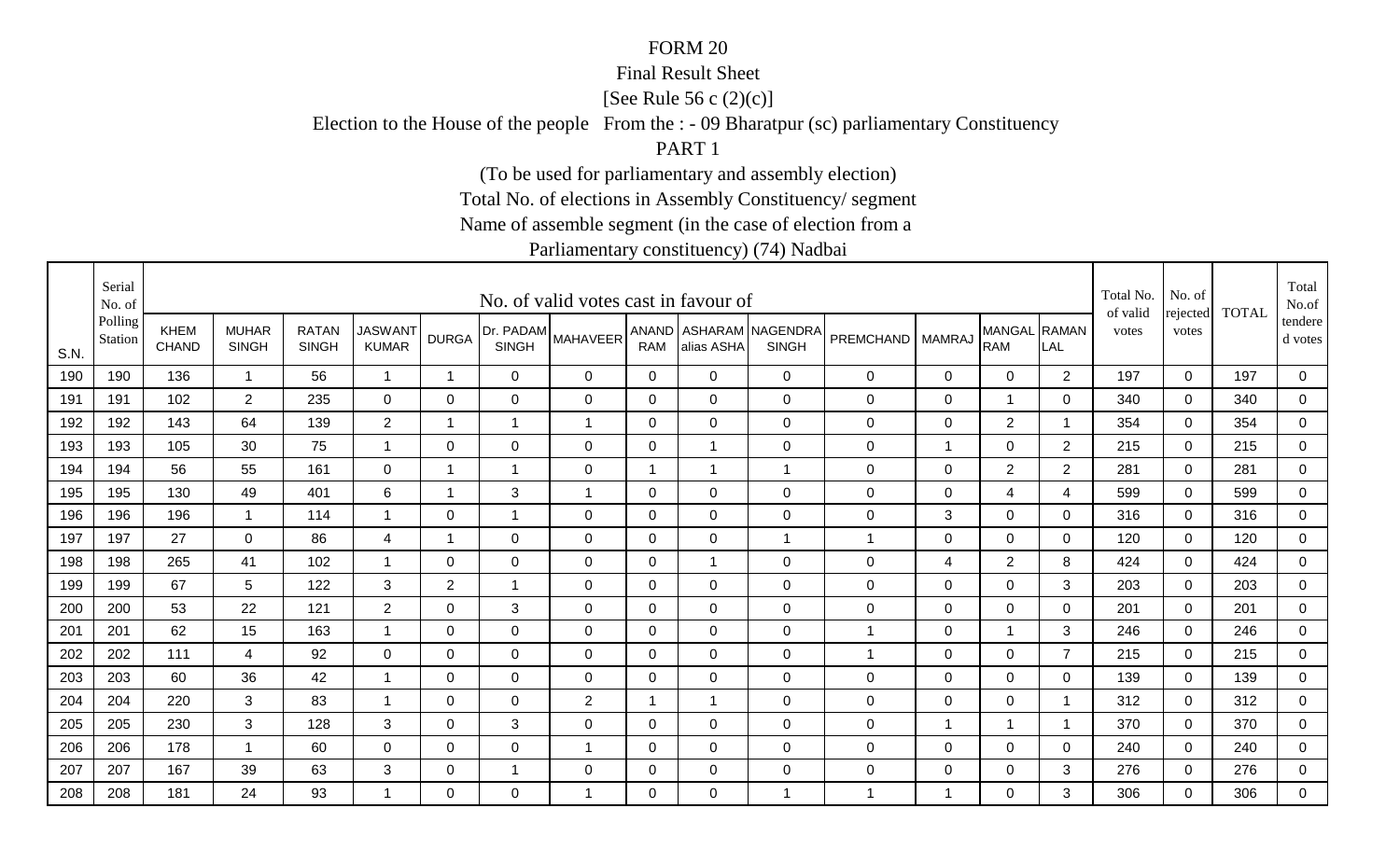### Final Result Sheet

[See Rule 56 c (2)(c)]

Election to the House of the people From the : - 09 Bharatpur (sc) parliamentary Constituency

PART 1

(To be used for parliamentary and assembly election)

Total No. of elections in Assembly Constituency/ segment

Name of assemble segment (in the case of election from a

|      | Serial<br>No. of   |                             |                              |                              |                                |                         |                | No. of valid votes cast in favour of |                |                |                                        |             |                |                            |                | Total No.<br>of valid | No. of            | <b>TOTAL</b> | Total<br>No.of       |
|------|--------------------|-----------------------------|------------------------------|------------------------------|--------------------------------|-------------------------|----------------|--------------------------------------|----------------|----------------|----------------------------------------|-------------|----------------|----------------------------|----------------|-----------------------|-------------------|--------------|----------------------|
| S.N. | Polling<br>Station | <b>KHEM</b><br><b>CHAND</b> | <b>MUHAR</b><br><b>SINGH</b> | <b>RATAN</b><br><b>SINGH</b> | <b>JASWANT</b><br><b>KUMAR</b> | <b>DURGA</b>            | <b>SINGH</b>   | [Dr. PADAM MAHAVEER <sup>1</sup>     | <b>RAM</b>     | alias ASHA     | ANAND ASHARAM NAGENDRA<br><b>SINGH</b> | PREMCHAND   | <b>MAMRAJ</b>  | MANGAL RAMAN<br><b>RAM</b> | LAL            | votes                 | rejected<br>votes |              | tendere  <br>d votes |
| 190  | 190                | 136                         | -1                           | 56                           | $\overline{1}$                 | $\overline{ }$          | $\mathbf 0$    | $\mathbf{0}$                         | 0              | $\Omega$       | $\mathbf 0$                            | $\mathbf 0$ | 0              | $\mathbf 0$                | 2              | 197                   | $\mathbf 0$       | 197          | 0                    |
| 191  | 191                | 102                         | $\overline{2}$               | 235                          | 0                              | 0                       | 0              | 0                                    | $\overline{0}$ | 0              | $\mathbf 0$                            | 0           | 0              |                            | $\mathbf 0$    | 340                   | $\Omega$          | 340          | $\overline{0}$       |
| 192  | 192                | 143                         | 64                           | 139                          | $2^{\circ}$                    | -1                      | $\mathbf{1}$   | $\mathbf 1$                          | 0              | 0              | $\mathbf 0$                            | $\mathbf 0$ | 0              | $\overline{2}$             | -1             | 354                   | 0                 | 354          | 0                    |
| 193  | 193                | 105                         | 30                           | 75                           | $\mathbf 1$                    | 0                       | 0              | 0                                    | 0              | -1             | $\mathbf 0$                            | $\mathbf 0$ | $\mathbf 1$    | $\mathbf 0$                | $\overline{2}$ | 215                   | $\Omega$          | 215          | 0                    |
| 194  | 194                | 56                          | 55                           | 161                          | $\mathbf 0$                    | $\overline{\mathbf{1}}$ | $\mathbf{1}$   | $\mathbf 0$                          | $\overline{1}$ | $\overline{1}$ | $\overline{1}$                         | $\mathsf 0$ | $\mathbf 0$    | $\overline{2}$             | 2              | 281                   | $\Omega$          | 281          | $\overline{0}$       |
| 195  | 195                | 130                         | 49                           | 401                          | 6                              | $\overline{1}$          | 3              | $\overline{1}$                       | $\overline{0}$ | $\mathbf 0$    | $\overline{0}$                         | $\mathbf 0$ | $\mathbf 0$    | $\overline{4}$             | 4              | 599                   | $\mathbf 0$       | 599          | $\overline{0}$       |
| 196  | 196                | 196                         | -1                           | 114                          | -1                             | $\Omega$                | $\overline{1}$ | $\mathbf 0$                          | $\mathbf 0$    | $\overline{0}$ | $\overline{0}$                         | $\mathsf 0$ | 3              | $\mathbf 0$                | $\Omega$       | 316                   | $\mathbf 0$       | 316          | 0                    |
| 197  | 197                | 27                          | $\mathbf 0$                  | 86                           | $\overline{4}$                 | $\overline{\mathbf{1}}$ | 0              | $\mathbf 0$                          | 0              | $\mathbf 0$    | $\mathbf{1}$                           | 1           | $\mathbf 0$    | $\pmb{0}$                  | 0              | 120                   | 0                 | 120          | 0                    |
| 198  | 198                | 265                         | 41                           | 102                          | $\mathbf 1$                    | $\Omega$                | 0              | $\Omega$                             | 0              | -1             | $\mathbf 0$                            | 0           | 4              | $\overline{2}$             | 8              | 424                   | $\Omega$          | 424          | 0                    |
| 199  | 199                | 67                          | 5                            | 122                          | 3                              | $\overline{2}$          | $\mathbf{1}$   | $\mathbf 0$                          | 0              | $\overline{0}$ | $\overline{0}$                         | 0           | $\mathbf 0$    | $\pmb{0}$                  | 3              | 203                   | $\mathbf 0$       | 203          | $\overline{0}$       |
| 200  | 200                | 53                          | 22                           | 121                          | $\overline{2}$                 | 0                       | 3              | 0                                    | $\mathbf 0$    | 0              | $\mathbf 0$                            | $\mathbf 0$ | 0              | $\pmb{0}$                  | 0              | 201                   | 0                 | 201          | 0                    |
| 201  | 201                | 62                          | 15                           | 163                          | $\mathbf 1$                    | 0                       | $\mathbf 0$    | 0                                    | 0              | $\overline{0}$ | $\mathbf 0$                            | 1           | 0              |                            | 3              | 246                   | $\Omega$          | 246          | 0                    |
| 202  | 202                | 111                         | $\overline{4}$               | 92                           | $\mathbf 0$                    | 0                       | 0              | 0                                    | $\mathbf 0$    | $\Omega$       | $\mathbf 0$                            | 1           | $\mathbf 0$    | $\pmb{0}$                  | $\overline{7}$ | 215                   | $\mathbf 0$       | 215          | $\overline{0}$       |
| 203  | 203                | 60                          | 36                           | 42                           | $\mathbf 1$                    | $\Omega$                | 0              | 0                                    | $\Omega$       | 0              | $\overline{0}$                         | 0           | 0              | $\mathbf 0$                | 0              | 139                   | $\Omega$          | 139          | 0                    |
| 204  | 204                | 220                         | 3                            | 83                           | $\overline{1}$                 | $\mathbf 0$             | $\mathbf 0$    | $\overline{2}$                       | 1              |                | $\mathbf 0$                            | $\mathsf 0$ | $\mathbf 0$    | $\mathsf 0$                | $\overline{1}$ | 312                   | $\mathbf 0$       | 312          | $\mathbf 0$          |
| 205  | 205                | 230                         | 3                            | 128                          | 3                              | 0                       | 3              | $\mathbf 0$                          | 0              | 0              | $\mathbf 0$                            | $\mathbf 0$ | $\overline{1}$ | 1                          | - 1            | 370                   | $\Omega$          | 370          | $\mathbf 0$          |
| 206  | 206                | 178                         | -1                           | 60                           | $\mathbf 0$                    | 0                       | 0              | 1                                    | $\mathbf 0$    | 0              | $\mathbf 0$                            | $\mathbf 0$ | $\mathbf 0$    | 0                          | 0              | 240                   | 0                 | 240          | 0                    |
| 207  | 207                | 167                         | 39                           | 63                           | 3                              | 0                       | $\mathbf 1$    | 0                                    | 0              | 0              | $\mathbf 0$                            | $\mathbf 0$ | $\mathbf 0$    | $\mathbf 0$                | 3              | 276                   | $\mathbf 0$       | 276          | $\overline{0}$       |
| 208  | 208                | 181                         | 24                           | 93                           | $\mathbf 1$                    | $\Omega$                | $\Omega$       | 1                                    | $\Omega$       | $\Omega$       | $\overline{1}$                         | 1           | $\overline{1}$ | 0                          | 3              | 306                   | $\Omega$          | 306          | $\mathbf 0$          |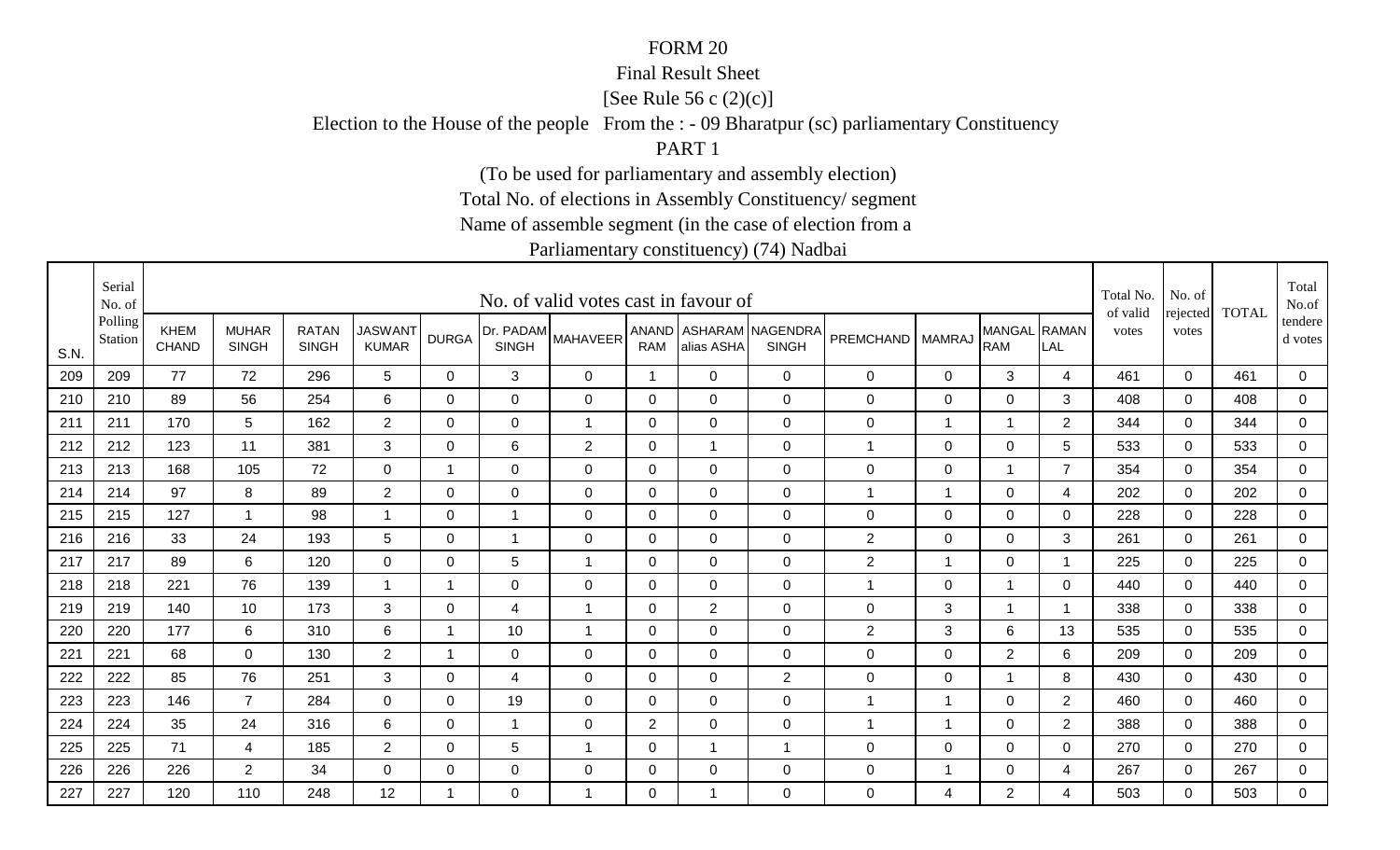#### Final Result Sheet

[See Rule 56 c (2)(c)]

Election to the House of the people From the : - 09 Bharatpur (sc) parliamentary Constituency

PART 1

(To be used for parliamentary and assembly election)

Total No. of elections in Assembly Constituency/ segment

Name of assemble segment (in the case of election from a

|      | Serial<br>No. of   |                             |                              |                              |                                |                |                           | No. of valid votes cast in favour of |                |                |                                        |                    |                         |                            |                | Total No.<br>of valid | No. of            | <b>TOTAL</b> | Total<br>No.of     |
|------|--------------------|-----------------------------|------------------------------|------------------------------|--------------------------------|----------------|---------------------------|--------------------------------------|----------------|----------------|----------------------------------------|--------------------|-------------------------|----------------------------|----------------|-----------------------|-------------------|--------------|--------------------|
| S.N. | Polling<br>Station | <b>KHEM</b><br><b>CHAND</b> | <b>MUHAR</b><br><b>SINGH</b> | <b>RATAN</b><br><b>SINGH</b> | <b>JASWANT</b><br><b>KUMAR</b> | <b>DURGA</b>   | Dr. PADAM<br><b>SINGH</b> | <b>MAHAVEER</b>                      | <b>RAM</b>     | alias ASHA     | ANAND ASHARAM NAGENDRA<br><b>SINGH</b> | PREMCHAND   MAMRAJ |                         | MANGAL RAMAN<br><b>RAM</b> | <b>LAL</b>     | votes                 | rejected<br>votes |              | tendere<br>d votes |
| 209  | 209                | 77                          | 72                           | 296                          | 5                              | $\Omega$       | 3                         | $\mathbf 0$                          | $\overline{1}$ | $\Omega$       | 0                                      | 0                  | $\mathbf 0$             | 3                          | 4              | 461                   | $\mathbf 0$       | 461          | $\overline{0}$     |
| 210  | 210                | 89                          | 56                           | 254                          | 6                              | $\Omega$       | 0                         | $\mathbf 0$                          | $\mathbf 0$    | $\mathbf 0$    | 0                                      | $\mathbf 0$        | 0                       | 0                          | 3              | 408                   | 0                 | 408          | $\mathbf 0$        |
| 211  | 211                | 170                         | 5                            | 162                          | $\overline{2}$                 | 0              | $\mathbf 0$               | $\overline{1}$                       | 0              | $\mathbf 0$    | $\mathbf 0$                            | $\mathbf 0$        | -1                      | $\overline{1}$             | 2              | 344                   | 0                 | 344          | $\mathbf 0$        |
| 212  | 212                | 123                         | 11                           | 381                          | 3                              | 0              | 6                         | $\overline{2}$                       | 0              | 1              | $\mathbf 0$                            | 1                  | 0                       | 0                          | 5              | 533                   | $\mathbf 0$       | 533          | $\mathbf 0$        |
| 213  | 213                | 168                         | 105                          | 72                           | $\mathbf 0$                    | $\mathbf 1$    | $\overline{0}$            | $\overline{0}$                       | $\Omega$       | $\Omega$       | $\mathbf 0$                            | $\mathbf 0$        | $\mathbf 0$             | $\overline{\mathbf{1}}$    | $\overline{7}$ | 354                   | $\Omega$          | 354          | $\overline{0}$     |
| 214  | 214                | 97                          | 8                            | 89                           | $\overline{2}$                 | $\mathbf 0$    | $\mathbf 0$               | $\mathbf 0$                          | $\mathbf 0$    | $\mathbf 0$    | $\mathbf 0$                            | $\overline{1}$     | $\overline{\mathbf{A}}$ | 0                          | 4              | 202                   | $\mathbf 0$       | 202          | $\mathbf 0$        |
| 215  | 215                | 127                         | -1                           | 98                           | -1                             | $\mathbf 0$    | $\overline{A}$            | $\mathbf 0$                          | $\mathbf 0$    | $\mathbf 0$    | $\mathbf 0$                            | $\mathbf 0$        | $\mathbf 0$             | 0                          | $\Omega$       | 228                   | $\mathbf 0$       | 228          | $\mathbf 0$        |
| 216  | 216                | 33                          | 24                           | 193                          | 5                              | 0              | 1                         | $\mathbf 0$                          | 0              | $\overline{0}$ | $\mathbf 0$                            | $\overline{c}$     | $\mathsf 0$             | $\mathbf 0$                | 3              | 261                   | $\overline{0}$    | 261          | 0                  |
| 217  | 217                | 89                          | 6                            | 120                          | 0                              | $\Omega$       | 5                         | $\overline{1}$                       | $\Omega$       | $\mathbf 0$    | 0                                      | $\overline{2}$     | -1                      | 0                          | -1             | 225                   | $\mathbf 0$       | 225          | $\mathbf 0$        |
| 218  | 218                | 221                         | 76                           | 139                          | $\overline{1}$                 | $\overline{1}$ | $\mathbf 0$               | $\overline{0}$                       | $\Omega$       | $\mathbf 0$    | 0                                      | 1                  | $\mathbf 0$             | 1                          | $\Omega$       | 440                   | $\mathbf 0$       | 440          | $\mathbf 0$        |
| 219  | 219                | 140                         | 10                           | 173                          | 3                              | 0              | 4                         | $\overline{1}$                       | 0              | $\overline{2}$ | $\mathbf 0$                            | $\boldsymbol{0}$   | 3                       | $\overline{1}$             | 1              | 338                   | $\mathbf 0$       | 338          | $\mathbf 0$        |
| 220  | 220                | 177                         | 6                            | 310                          | 6                              | 1              | 10                        | -1                                   | 0              | $\mathbf 0$    | $\mathbf 0$                            | $\mathbf{2}$       | $\mathbf{3}$            | 6                          | 13             | 535                   | 0                 | 535          | $\mathbf 0$        |
| 221  | 221                | 68                          | $\overline{0}$               | 130                          | $\overline{2}$                 | -1             | $\mathbf 0$               | $\overline{0}$                       | 0              | $\mathbf 0$    | $\mathbf 0$                            | $\boldsymbol{0}$   | $\mathbf 0$             | $\overline{2}$             | 6              | 209                   | $\overline{0}$    | 209          | $\mathbf 0$        |
| 222  | 222                | 85                          | 76                           | 251                          | 3                              | $\Omega$       | $\overline{4}$            | $\mathbf 0$                          | $\mathbf{0}$   | $\Omega$       | 2                                      | $\mathbf 0$        | $\mathbf 0$             | -1                         | 8              | 430                   | 0                 | 430          | $\mathbf 0$        |
| 223  | 223                | 146                         | $\overline{7}$               | 284                          | $\mathbf 0$                    | $\mathbf 0$    | 19                        | $\mathbf 0$                          | $\mathbf 0$    | $\mathbf 0$    | $\mathbf 0$                            | $\overline{1}$     |                         | 0                          | $\overline{2}$ | 460                   | $\mathbf 0$       | 460          | $\mathbf 0$        |
| 224  | 224                | 35                          | 24                           | 316                          | 6                              | 0              | $\overline{1}$            | $\mathbf 0$                          | $\overline{2}$ | $\mathbf 0$    | $\mathbf 0$                            | 1                  | -1                      | 0                          | $\overline{2}$ | 388                   | 0                 | 388          | $\mathbf 0$        |
| 225  | 225                | 71                          | 4                            | 185                          | $\overline{2}$                 | 0              | 5                         | -1                                   | 0              | $\overline{1}$ | 1                                      | $\mathbf 0$        | $\mathbf 0$             | 0                          | 0              | 270                   | $\overline{0}$    | 270          | 0                  |
| 226  | 226                | 226                         | $\overline{2}$               | 34                           | $\mathbf 0$                    | 0              | $\mathbf 0$               | $\overline{0}$                       | 0              | $\mathbf 0$    | $\mathbf 0$                            | 0                  | -1                      | 0                          | 4              | 267                   | $\mathbf 0$       | 267          | $\overline{0}$     |
| 227  | 227                | 120                         | 110                          | 248                          | 12                             | -1             | 0                         | -1                                   | $\Omega$       | -1             | 0                                      | $\mathbf 0$        | 4                       | $\overline{2}$             | 4              | 503                   | $\Omega$          | 503          | $\overline{0}$     |